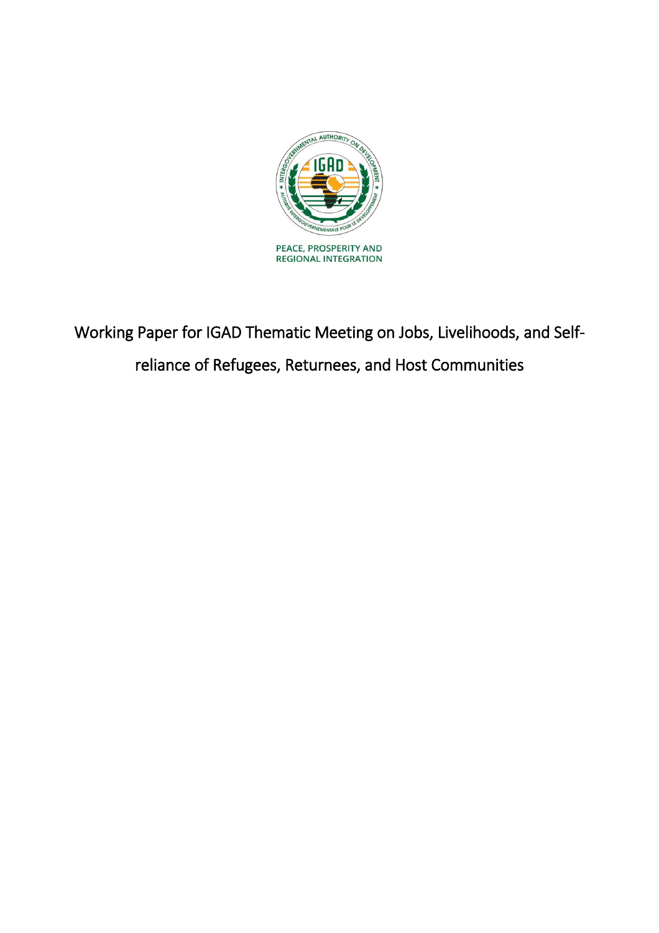

Working Paper for IGAD Thematic Meeting on Jobs, Livelihoods, and Selfreliance of Refugees, Returnees, and Host Communities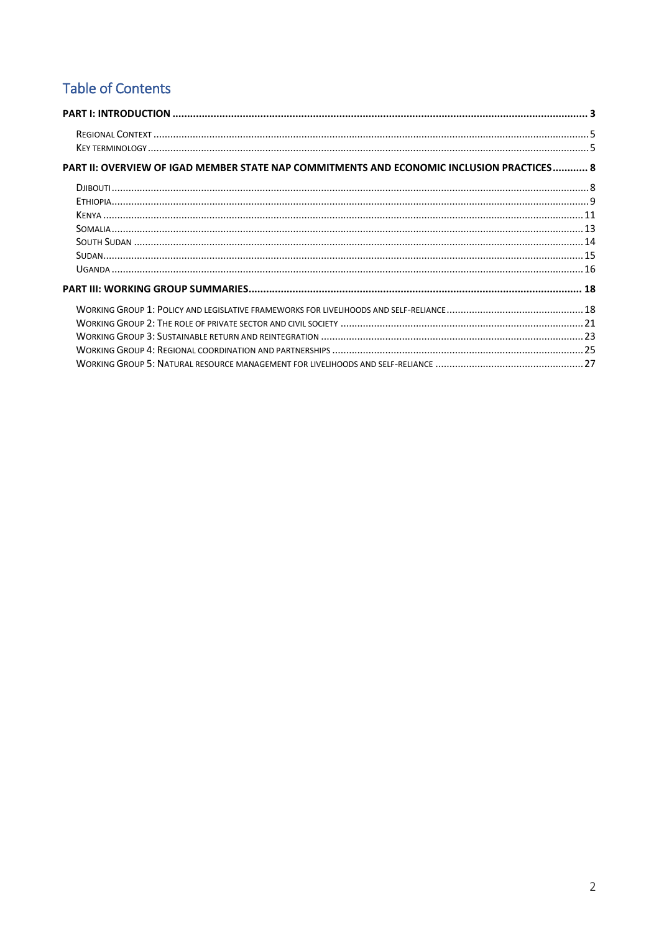# **Table of Contents**

| PART II: OVERVIEW OF IGAD MEMBER STATE NAP COMMITMENTS AND ECONOMIC INCLUSION PRACTICES 8 |  |
|-------------------------------------------------------------------------------------------|--|
|                                                                                           |  |
|                                                                                           |  |
|                                                                                           |  |
|                                                                                           |  |
|                                                                                           |  |
|                                                                                           |  |
|                                                                                           |  |
|                                                                                           |  |
|                                                                                           |  |
|                                                                                           |  |
|                                                                                           |  |
|                                                                                           |  |
|                                                                                           |  |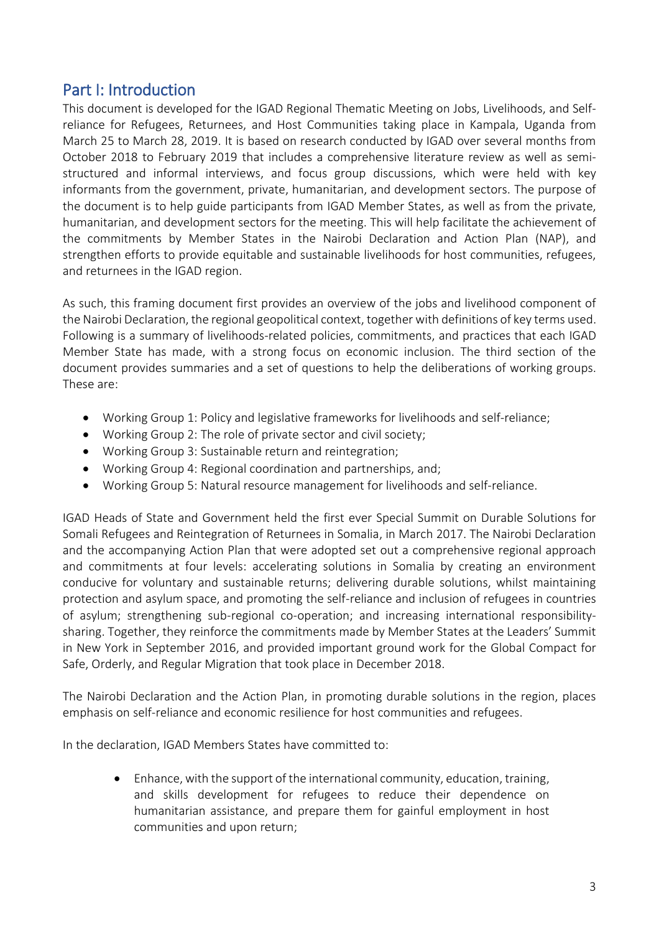# <span id="page-2-0"></span>Part I: Introduction

This document is developed for the IGAD Regional Thematic Meeting on Jobs, Livelihoods, and Selfreliance for Refugees, Returnees, and Host Communities taking place in Kampala, Uganda from March 25 to March 28, 2019. It is based on research conducted by IGAD over several months from October 2018 to February 2019 that includes a comprehensive literature review as well as semistructured and informal interviews, and focus group discussions, which were held with key informants from the government, private, humanitarian, and development sectors. The purpose of the document is to help guide participants from IGAD Member States, as well as from the private, humanitarian, and development sectors for the meeting. This will help facilitate the achievement of the commitments by Member States in the Nairobi Declaration and Action Plan (NAP), and strengthen efforts to provide equitable and sustainable livelihoods for host communities, refugees, and returnees in the IGAD region.

As such, this framing document first provides an overview of the jobs and livelihood component of the Nairobi Declaration, the regional geopolitical context, together with definitions of key terms used. Following is a summary of livelihoods-related policies, commitments, and practices that each IGAD Member State has made, with a strong focus on economic inclusion. The third section of the document provides summaries and a set of questions to help the deliberations of working groups. These are:

- Working Group 1: Policy and legislative frameworks for livelihoods and self-reliance;
- Working Group 2: The role of private sector and civil society;
- Working Group 3: Sustainable return and reintegration;
- Working Group 4: Regional coordination and partnerships, and;
- Working Group 5: Natural resource management for livelihoods and self-reliance.

IGAD Heads of State and Government held the first ever Special Summit on Durable Solutions for Somali Refugees and Reintegration of Returnees in Somalia, in March 2017. The Nairobi Declaration and the accompanying Action Plan that were adopted set out a comprehensive regional approach and commitments at four levels: accelerating solutions in Somalia by creating an environment conducive for voluntary and sustainable returns; delivering durable solutions, whilst maintaining protection and asylum space, and promoting the self-reliance and inclusion of refugees in countries of asylum; strengthening sub-regional co-operation; and increasing international responsibilitysharing. Together, they reinforce the commitments made by Member States at the Leaders' Summit in New York in September 2016, and provided important ground work for the Global Compact for Safe, Orderly, and Regular Migration that took place in December 2018.

The Nairobi Declaration and the Action Plan, in promoting durable solutions in the region, places emphasis on self-reliance and economic resilience for host communities and refugees.

In the declaration, IGAD Members States have committed to:

 Enhance, with the support of the international community, education, training, and skills development for refugees to reduce their dependence on humanitarian assistance, and prepare them for gainful employment in host communities and upon return;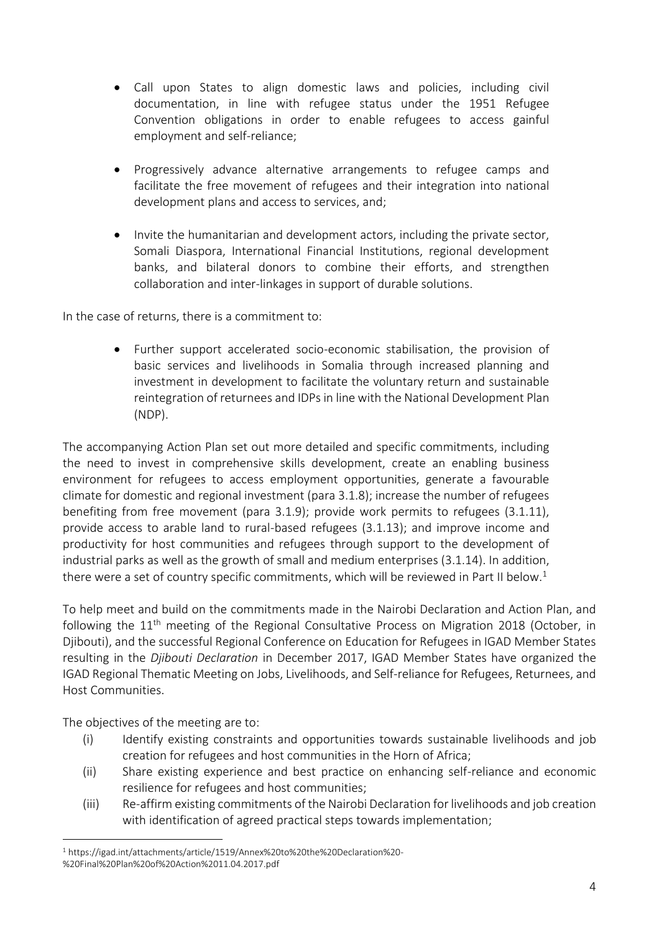- Call upon States to align domestic laws and policies, including civil documentation, in line with refugee status under the 1951 Refugee Convention obligations in order to enable refugees to access gainful employment and self-reliance;
- Progressively advance alternative arrangements to refugee camps and facilitate the free movement of refugees and their integration into national development plans and access to services, and;
- Invite the humanitarian and development actors, including the private sector, Somali Diaspora, International Financial Institutions, regional development banks, and bilateral donors to combine their efforts, and strengthen collaboration and inter-linkages in support of durable solutions.

In the case of returns, there is a commitment to:

 Further support accelerated socio-economic stabilisation, the provision of basic services and livelihoods in Somalia through increased planning and investment in development to facilitate the voluntary return and sustainable reintegration of returnees and IDPs in line with the National Development Plan (NDP).

The accompanying Action Plan set out more detailed and specific commitments, including the need to invest in comprehensive skills development, create an enabling business environment for refugees to access employment opportunities, generate a favourable climate for domestic and regional investment (para 3.1.8); increase the number of refugees benefiting from free movement (para 3.1.9); provide work permits to refugees (3.1.11), provide access to arable land to rural-based refugees (3.1.13); and improve income and productivity for host communities and refugees through support to the development of industrial parks as well as the growth of small and medium enterprises (3.1.14). In addition, there were a set of country specific commitments, which will be reviewed in Part II below. $^{\text{1}}$ 

To help meet and build on the commitments made in the Nairobi Declaration and Action Plan, and following the 11<sup>th</sup> meeting of the Regional Consultative Process on Migration 2018 (October, in Djibouti), and the successful Regional Conference on Education for Refugees in IGAD Member States resulting in the *Djibouti Declaration* in December 2017, IGAD Member States have organized the IGAD Regional Thematic Meeting on Jobs, Livelihoods, and Self-reliance for Refugees, Returnees, and Host Communities.

The objectives of the meeting are to:

 $\overline{a}$ 

- (i) Identify existing constraints and opportunities towards sustainable livelihoods and job creation for refugees and host communities in the Horn of Africa;
- (ii) Share existing experience and best practice on enhancing self-reliance and economic resilience for refugees and host communities;
- (iii) Re-affirm existing commitments of the Nairobi Declaration for livelihoods and job creation with identification of agreed practical steps towards implementation;

<sup>1</sup> https://igad.int/attachments/article/1519/Annex%20to%20the%20Declaration%20- %20Final%20Plan%20of%20Action%2011.04.2017.pdf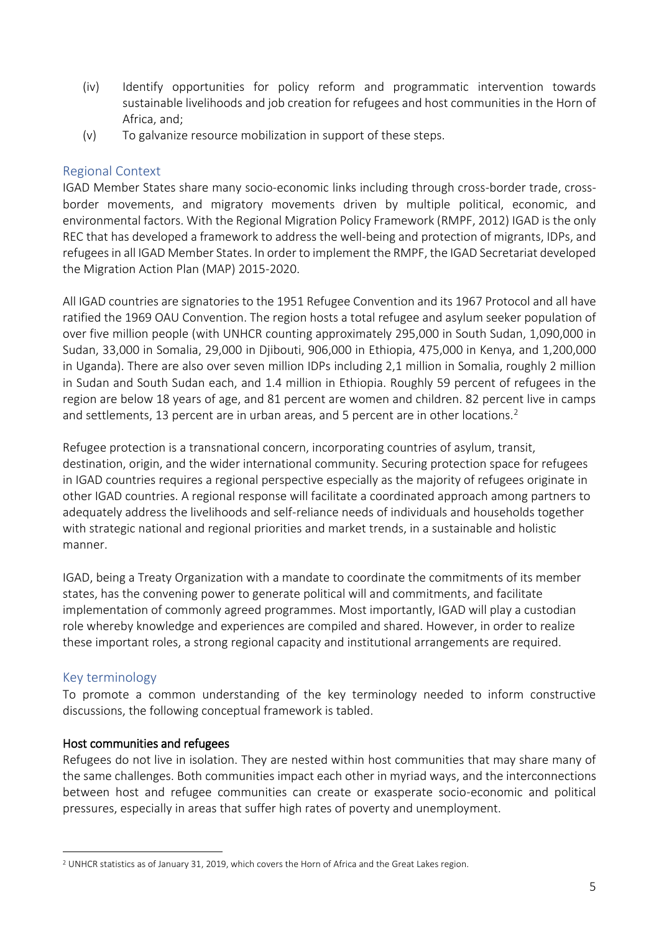- (iv) Identify opportunities for policy reform and programmatic intervention towards sustainable livelihoods and job creation for refugees and host communities in the Horn of Africa, and;
- (v) To galvanize resource mobilization in support of these steps.

## <span id="page-4-0"></span>Regional Context

IGAD Member States share many socio-economic links including through cross-border trade, crossborder movements, and migratory movements driven by multiple political, economic, and environmental factors. With the Regional Migration Policy Framework (RMPF, 2012) IGAD is the only REC that has developed a framework to address the well-being and protection of migrants, IDPs, and refugees in all IGAD Member States. In order to implement the RMPF, the IGAD Secretariat developed the Migration Action Plan (MAP) 2015-2020.

All IGAD countries are signatories to the 1951 Refugee Convention and its 1967 Protocol and all have ratified the 1969 OAU Convention. The region hosts a total refugee and asylum seeker population of over five million people (with UNHCR counting approximately 295,000 in South Sudan, 1,090,000 in Sudan, 33,000 in Somalia, 29,000 in Djibouti, 906,000 in Ethiopia, 475,000 in Kenya, and 1,200,000 in Uganda). There are also over seven million IDPs including 2,1 million in Somalia, roughly 2 million in Sudan and South Sudan each, and 1.4 million in Ethiopia. Roughly 59 percent of refugees in the region are below 18 years of age, and 81 percent are women and children. 82 percent live in camps and settlements, 13 percent are in urban areas, and 5 percent are in other locations.<sup>2</sup>

Refugee protection is a transnational concern, incorporating countries of asylum, transit, destination, origin, and the wider international community. Securing protection space for refugees in IGAD countries requires a regional perspective especially as the majority of refugees originate in other IGAD countries. A regional response will facilitate a coordinated approach among partners to adequately address the livelihoods and self-reliance needs of individuals and households together with strategic national and regional priorities and market trends, in a sustainable and holistic manner.

IGAD, being a Treaty Organization with a mandate to coordinate the commitments of its member states, has the convening power to generate political will and commitments, and facilitate implementation of commonly agreed programmes. Most importantly, IGAD will play a custodian role whereby knowledge and experiences are compiled and shared. However, in order to realize these important roles, a strong regional capacity and institutional arrangements are required.

## <span id="page-4-1"></span>Key terminology

 $\overline{a}$ 

To promote a common understanding of the key terminology needed to inform constructive discussions, the following conceptual framework is tabled.

## Host communities and refugees

Refugees do not live in isolation. They are nested within host communities that may share many of the same challenges. Both communities impact each other in myriad ways, and the interconnections between host and refugee communities can create or exasperate socio-economic and political pressures, especially in areas that suffer high rates of poverty and unemployment.

<sup>2</sup> UNHCR statistics as of January 31, 2019, which covers the Horn of Africa and the Great Lakes region.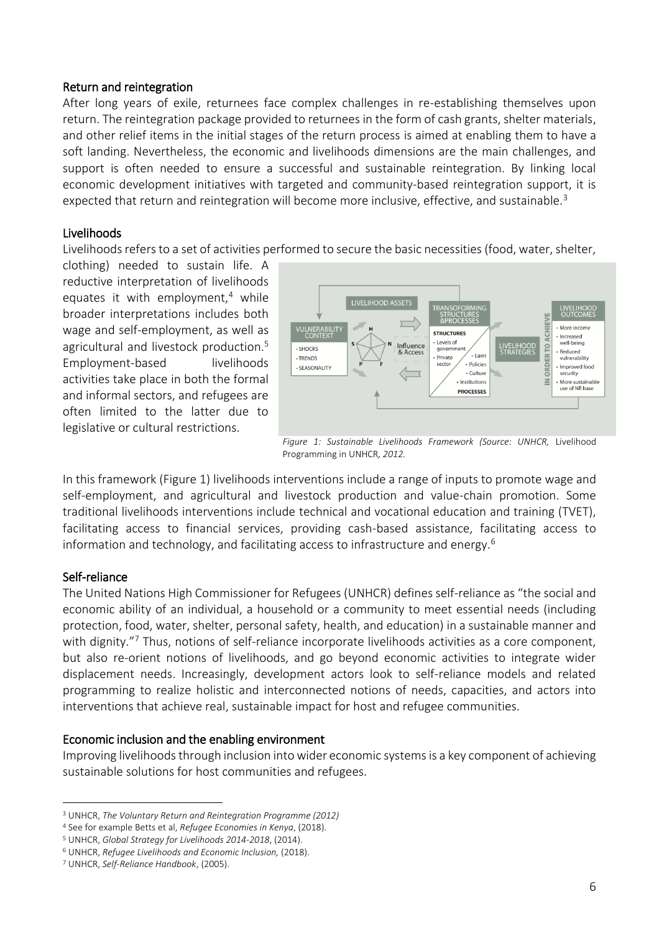#### Return and reintegration

After long years of exile, returnees face complex challenges in re-establishing themselves upon return. The reintegration package provided to returnees in the form of cash grants, shelter materials, and other relief items in the initial stages of the return process is aimed at enabling them to have a soft landing. Nevertheless, the economic and livelihoods dimensions are the main challenges, and support is often needed to ensure a successful and sustainable reintegration. By linking local economic development initiatives with targeted and community-based reintegration support, it is expected that return and reintegration will become more inclusive, effective, and sustainable.<sup>3</sup>

#### Livelihoods

Livelihoods refers to a set of activities performed to secure the basic necessities (food, water, shelter,

clothing) needed to sustain life. A reductive interpretation of livelihoods equates it with employment, $4$  while broader interpretations includes both wage and self-employment, as well as agricultural and livestock production.<sup>5</sup> Employment-based livelihoods activities take place in both the formal and informal sectors, and refugees are often limited to the latter due to legislative or cultural restrictions.



*Figure 1: Sustainable Livelihoods Framework (Source: UNHCR,* Livelihood Programming in UNHCR*, 2012.*

In this framework (Figure 1) livelihoods interventions include a range of inputs to promote wage and self-employment, and agricultural and livestock production and value-chain promotion. Some traditional livelihoods interventions include technical and vocational education and training (TVET), facilitating access to financial services, providing cash-based assistance, facilitating access to information and technology, and facilitating access to infrastructure and energy.<sup>6</sup>

#### Self-reliance

The United Nations High Commissioner for Refugees (UNHCR) defines self-reliance as "the social and economic ability of an individual, a household or a community to meet essential needs (including protection, food, water, shelter, personal safety, health, and education) in a sustainable manner and with dignity."<sup>7</sup> Thus, notions of self-reliance incorporate livelihoods activities as a core component, but also re-orient notions of livelihoods, and go beyond economic activities to integrate wider displacement needs. Increasingly, development actors look to self-reliance models and related programming to realize holistic and interconnected notions of needs, capacities, and actors into interventions that achieve real, sustainable impact for host and refugee communities.

#### Economic inclusion and the enabling environment

Improving livelihoods through inclusion into wider economic systems is a key component of achieving sustainable solutions for host communities and refugees.

 $\overline{a}$ <sup>3</sup> UNHCR, *The Voluntary Return and Reintegration Programme (2012)*

<sup>4</sup> See for example Betts et al, *Refugee Economies in Kenya*, (2018).

<sup>5</sup> UNHCR, *Global Strategy for Livelihoods 2014-2018*, (2014).

<sup>6</sup> UNHCR, *Refugee Livelihoods and Economic Inclusion,* (2018).

<sup>7</sup> UNHCR, *Self-Reliance Handbook*, (2005).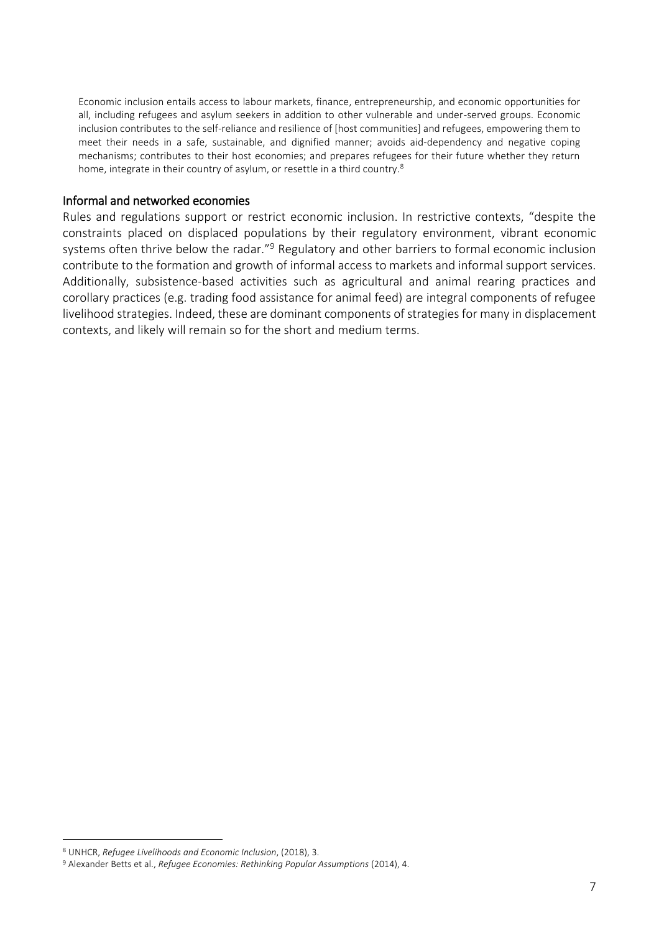Economic inclusion entails access to labour markets, finance, entrepreneurship, and economic opportunities for all, including refugees and asylum seekers in addition to other vulnerable and under-served groups. Economic inclusion contributes to the self-reliance and resilience of [host communities] and refugees, empowering them to meet their needs in a safe, sustainable, and dignified manner; avoids aid-dependency and negative coping mechanisms; contributes to their host economies; and prepares refugees for their future whether they return home, integrate in their country of asylum, or resettle in a third country.<sup>8</sup>

#### Informal and networked economies

Rules and regulations support or restrict economic inclusion. In restrictive contexts, "despite the constraints placed on displaced populations by their regulatory environment, vibrant economic systems often thrive below the radar."<sup>9</sup> Regulatory and other barriers to formal economic inclusion contribute to the formation and growth of informal access to markets and informal support services. Additionally, subsistence-based activities such as agricultural and animal rearing practices and corollary practices (e.g. trading food assistance for animal feed) are integral components of refugee livelihood strategies. Indeed, these are dominant components of strategies for many in displacement contexts, and likely will remain so for the short and medium terms.

 $\overline{a}$ 

<sup>8</sup> UNHCR, *Refugee Livelihoods and Economic Inclusion*, (2018), 3.

<sup>9</sup> Alexander Betts et al., *Refugee Economies: Rethinking Popular Assumptions* (2014), 4.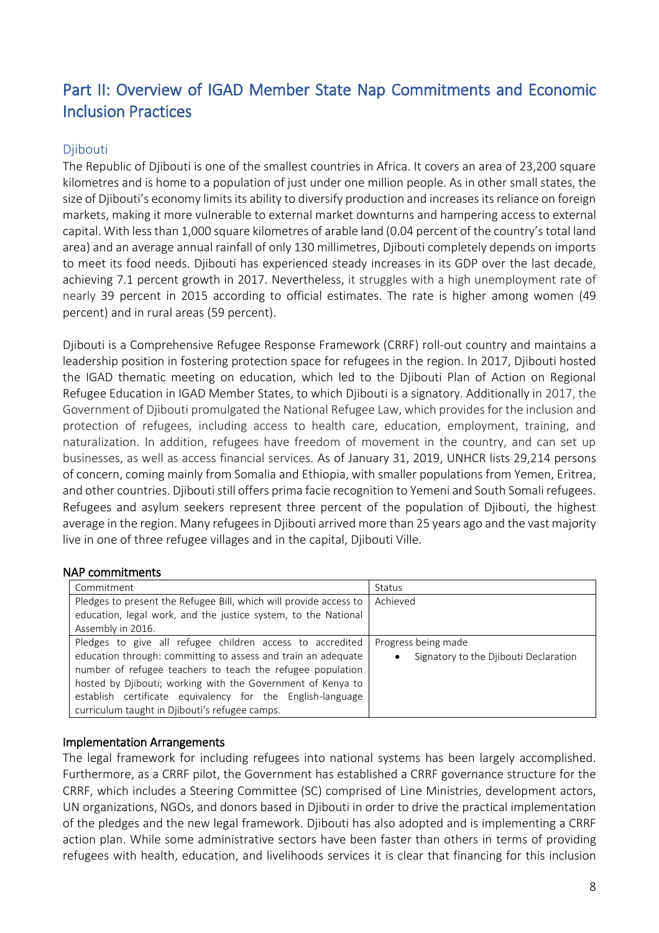# <span id="page-7-0"></span>Part II: Overview of IGAD Member State Nap Commitments and Economic Inclusion Practices

# <span id="page-7-1"></span>Djibouti

The Republic of Djibouti is one of the smallest countries in Africa. It covers an area of 23,200 square kilometres and is home to a population of just under one million people. As in other small states, the size of Djibouti's economy limits its ability to diversify production and increases its reliance on foreign markets, making it more vulnerable to external market downturns and hampering access to external capital. With less than 1,000 square kilometres of arable land (0.04 percent of the country's total land area) and an average annual rainfall of only 130 millimetres, Djibouti completely depends on imports to meet its food needs. Djibouti has experienced steady increases in its GDP over the last decade, achieving 7.1 percent growth in 2017. Nevertheless, it struggles with a high unemployment rate of nearly 39 percent in 2015 according to official estimates. The rate is higher among women (49 percent) and in rural areas (59 percent).

Djibouti is a Comprehensive Refugee Response Framework (CRRF) roll-out country and maintains a leadership position in fostering protection space for refugees in the region. In 2017, Djibouti hosted the IGAD thematic meeting on education, which led to the Djibouti Plan of Action on Regional Refugee Education in IGAD Member States, to which Djibouti is a signatory. Additionally in 2017, the Government of Djibouti promulgated the National Refugee Law, which provides for the inclusion and protection of refugees, including access to health care, education, employment, training, and naturalization. In addition, refugees have freedom of movement in the country, and can set up businesses, as well as access financial services. As of January 31, 2019, UNHCR lists 29,214 persons of concern, coming mainly from Somalia and Ethiopia, with smaller populations from Yemen, Eritrea, and other countries. Djibouti still offers prima facie recognition to Yemeni and South Somali refugees. Refugees and asylum seekers represent three percent of the population of Djibouti, the highest average in the region. Many refugees in Djibouti arrived more than 25 years ago and the vast majority live in one of three refugee villages and in the capital, Djibouti Ville.

## NAP commitments

| Commitment                                                        | <b>Status</b>                                      |
|-------------------------------------------------------------------|----------------------------------------------------|
| Pledges to present the Refugee Bill, which will provide access to | Achieved                                           |
| education, legal work, and the justice system, to the National    |                                                    |
| Assembly in 2016.                                                 |                                                    |
| Pledges to give all refugee children access to accredited         | Progress being made                                |
| education through: committing to assess and train an adequate     | Signatory to the Diibouti Declaration<br>$\bullet$ |
| number of refugee teachers to teach the refugee population        |                                                    |
| hosted by Djibouti; working with the Government of Kenya to       |                                                    |
| establish certificate equivalency for the English-language        |                                                    |
| curriculum taught in Djibouti's refugee camps.                    |                                                    |

## Implementation Arrangements

The legal framework for including refugees into national systems has been largely accomplished. Furthermore, as a CRRF pilot, the Government has established a CRRF governance structure for the CRRF, which includes a Steering Committee (SC) comprised of Line Ministries, development actors, UN organizations, NGOs, and donors based in Djibouti in order to drive the practical implementation of the pledges and the new legal framework. Djibouti has also adopted and is implementing a CRRF action plan. While some administrative sectors have been faster than others in terms of providing refugees with health, education, and livelihoods services it is clear that financing for this inclusion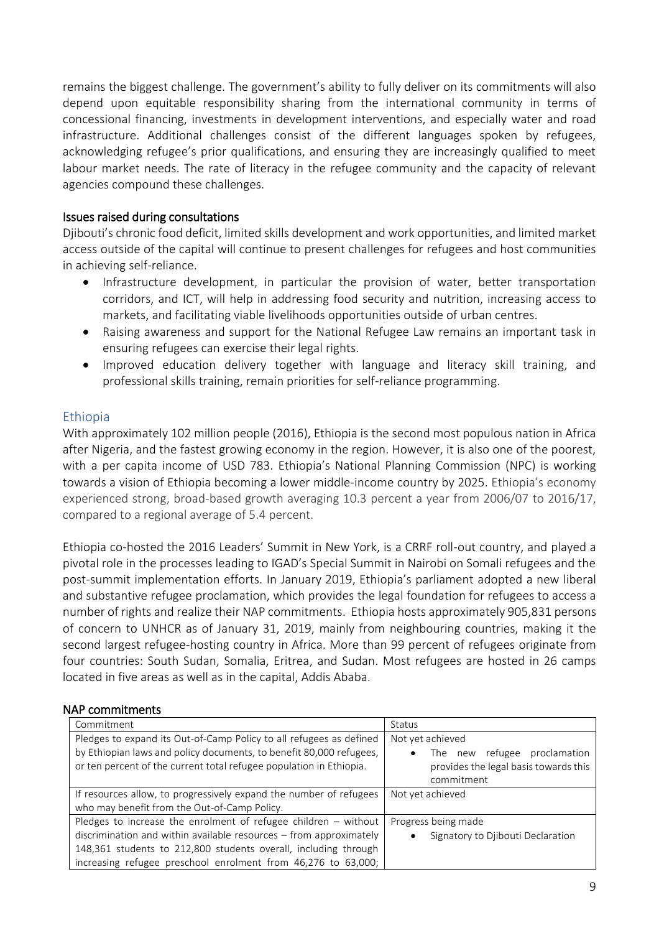remains the biggest challenge. The government's ability to fully deliver on its commitments will also depend upon equitable responsibility sharing from the international community in terms of concessional financing, investments in development interventions, and especially water and road infrastructure. Additional challenges consist of the different languages spoken by refugees, acknowledging refugee's prior qualifications, and ensuring they are increasingly qualified to meet labour market needs. The rate of literacy in the refugee community and the capacity of relevant agencies compound these challenges.

## Issues raised during consultations

Djibouti's chronic food deficit, limited skills development and work opportunities, and limited market access outside of the capital will continue to present challenges for refugees and host communities in achieving self-reliance.

- Infrastructure development, in particular the provision of water, better transportation corridors, and ICT, will help in addressing food security and nutrition, increasing access to markets, and facilitating viable livelihoods opportunities outside of urban centres.
- Raising awareness and support for the National Refugee Law remains an important task in ensuring refugees can exercise their legal rights.
- Improved education delivery together with language and literacy skill training, and professional skills training, remain priorities for self-reliance programming.

# <span id="page-8-0"></span>Ethiopia

With approximately 102 million people (2016), Ethiopia is the second most populous nation in Africa after Nigeria, and the fastest growing economy in the region. However, it is also one of the poorest, with a per capita income of USD 783. Ethiopia's National Planning Commission (NPC) is working towards a vision of Ethiopia becoming a lower middle-income country by 2025. Ethiopia's economy experienced strong, broad-based growth averaging 10.3 percent a year from 2006/07 to 2016/17, compared to a regional average of 5.4 percent.

Ethiopia co-hosted the 2016 Leaders' Summit in New York, is a CRRF roll-out country, and played a pivotal role in the processes leading to IGAD's Special Summit in Nairobi on Somali refugees and the post-summit implementation efforts. In January 2019, Ethiopia's parliament adopted a new liberal and substantive refugee proclamation, which provides the legal foundation for refugees to access a number of rights and realize their NAP commitments. Ethiopia hosts approximately 905,831 persons of concern to UNHCR as of January 31, 2019, mainly from neighbouring countries, making it the second largest refugee-hosting country in Africa. More than 99 percent of refugees originate from four countries: South Sudan, Somalia, Eritrea, and Sudan. Most refugees are hosted in 26 camps located in five areas as well as in the capital, Addis Ababa.

## NAP commitments

| Commitment                                                                                                                                                                                                        | Status                                                                                                               |
|-------------------------------------------------------------------------------------------------------------------------------------------------------------------------------------------------------------------|----------------------------------------------------------------------------------------------------------------------|
| Pledges to expand its Out-of-Camp Policy to all refugees as defined<br>by Ethiopian laws and policy documents, to benefit 80,000 refugees,<br>or ten percent of the current total refugee population in Ethiopia. | Not yet achieved<br>The new refugee proclamation<br>$\bullet$<br>provides the legal basis towards this<br>commitment |
| If resources allow, to progressively expand the number of refugees                                                                                                                                                | Not yet achieved                                                                                                     |
| who may benefit from the Out-of-Camp Policy.                                                                                                                                                                      |                                                                                                                      |
| Pledges to increase the enrolment of refugee children $-$ without                                                                                                                                                 | Progress being made                                                                                                  |
| discrimination and within available resources - from approximately                                                                                                                                                | Signatory to Diibouti Declaration                                                                                    |
| 148,361 students to 212,800 students overall, including through                                                                                                                                                   |                                                                                                                      |
| increasing refugee preschool enrolment from 46,276 to 63,000;                                                                                                                                                     |                                                                                                                      |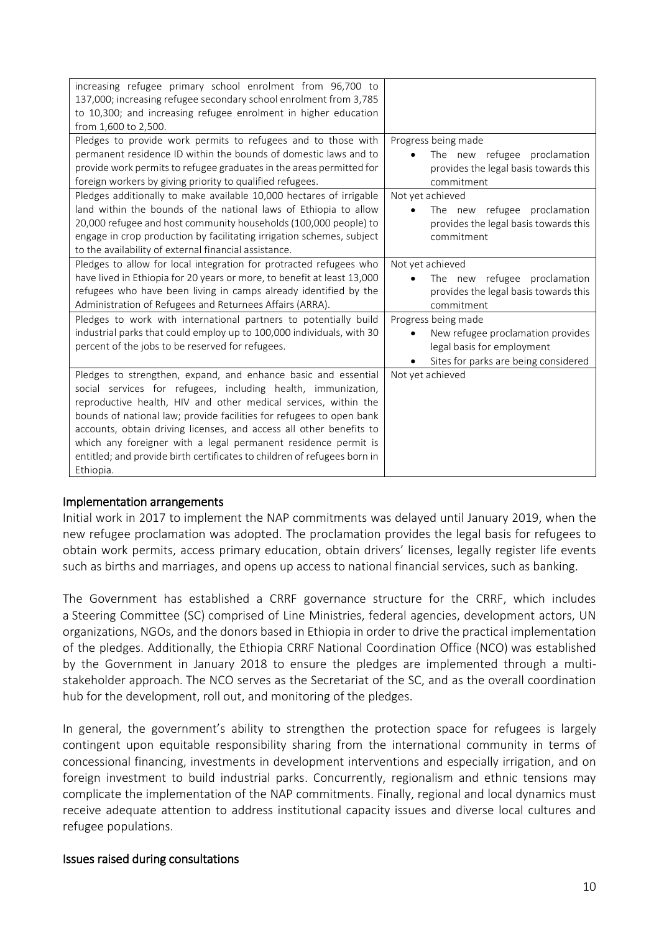| increasing refugee primary school enrolment from 96,700 to<br>137,000; increasing refugee secondary school enrolment from 3,785<br>to 10,300; and increasing refugee enrolment in higher education<br>from 1,600 to 2,500.                                                                                                                                                                                                                                                                                   |                                                                                                                                                                                                                      |
|--------------------------------------------------------------------------------------------------------------------------------------------------------------------------------------------------------------------------------------------------------------------------------------------------------------------------------------------------------------------------------------------------------------------------------------------------------------------------------------------------------------|----------------------------------------------------------------------------------------------------------------------------------------------------------------------------------------------------------------------|
| Pledges to provide work permits to refugees and to those with<br>permanent residence ID within the bounds of domestic laws and to<br>provide work permits to refugee graduates in the areas permitted for<br>foreign workers by giving priority to qualified refugees.<br>Pledges additionally to make available 10,000 hectares of irrigable<br>land within the bounds of the national laws of Ethiopia to allow<br>20,000 refugee and host community households (100,000 people) to                        | Progress being made<br>The new refugee proclamation<br>provides the legal basis towards this<br>commitment<br>Not yet achieved<br>The new refugee proclamation<br>$\bullet$<br>provides the legal basis towards this |
| engage in crop production by facilitating irrigation schemes, subject<br>to the availability of external financial assistance.                                                                                                                                                                                                                                                                                                                                                                               | commitment                                                                                                                                                                                                           |
| Pledges to allow for local integration for protracted refugees who<br>have lived in Ethiopia for 20 years or more, to benefit at least 13,000<br>refugees who have been living in camps already identified by the<br>Administration of Refugees and Returnees Affairs (ARRA).                                                                                                                                                                                                                                | Not yet achieved<br>The new refugee proclamation<br>provides the legal basis towards this<br>commitment                                                                                                              |
| Pledges to work with international partners to potentially build<br>industrial parks that could employ up to 100,000 individuals, with 30<br>percent of the jobs to be reserved for refugees.                                                                                                                                                                                                                                                                                                                | Progress being made<br>New refugee proclamation provides<br>legal basis for employment<br>Sites for parks are being considered                                                                                       |
| Pledges to strengthen, expand, and enhance basic and essential<br>social services for refugees, including health, immunization,<br>reproductive health, HIV and other medical services, within the<br>bounds of national law; provide facilities for refugees to open bank<br>accounts, obtain driving licenses, and access all other benefits to<br>which any foreigner with a legal permanent residence permit is<br>entitled; and provide birth certificates to children of refugees born in<br>Ethiopia. | Not yet achieved                                                                                                                                                                                                     |

#### Implementation arrangements

Initial work in 2017 to implement the NAP commitments was delayed until January 2019, when the new refugee proclamation was adopted. The proclamation provides the legal basis for refugees to obtain work permits, access primary education, obtain drivers' licenses, legally register life events such as births and marriages, and opens up access to national financial services, such as banking.

The Government has established a CRRF governance structure for the CRRF, which includes a Steering Committee (SC) comprised of Line Ministries, federal agencies, development actors, UN organizations, NGOs, and the donors based in Ethiopia in order to drive the practical implementation of the pledges. Additionally, the Ethiopia CRRF National Coordination Office (NCO) was established by the Government in January 2018 to ensure the pledges are implemented through a multistakeholder approach. The NCO serves as the Secretariat of the SC, and as the overall coordination hub for the development, roll out, and monitoring of the pledges.

In general, the government's ability to strengthen the protection space for refugees is largely contingent upon equitable responsibility sharing from the international community in terms of concessional financing, investments in development interventions and especially irrigation, and on foreign investment to build industrial parks. Concurrently, regionalism and ethnic tensions may complicate the implementation of the NAP commitments. Finally, regional and local dynamics must receive adequate attention to address institutional capacity issues and diverse local cultures and refugee populations.

#### Issues raised during consultations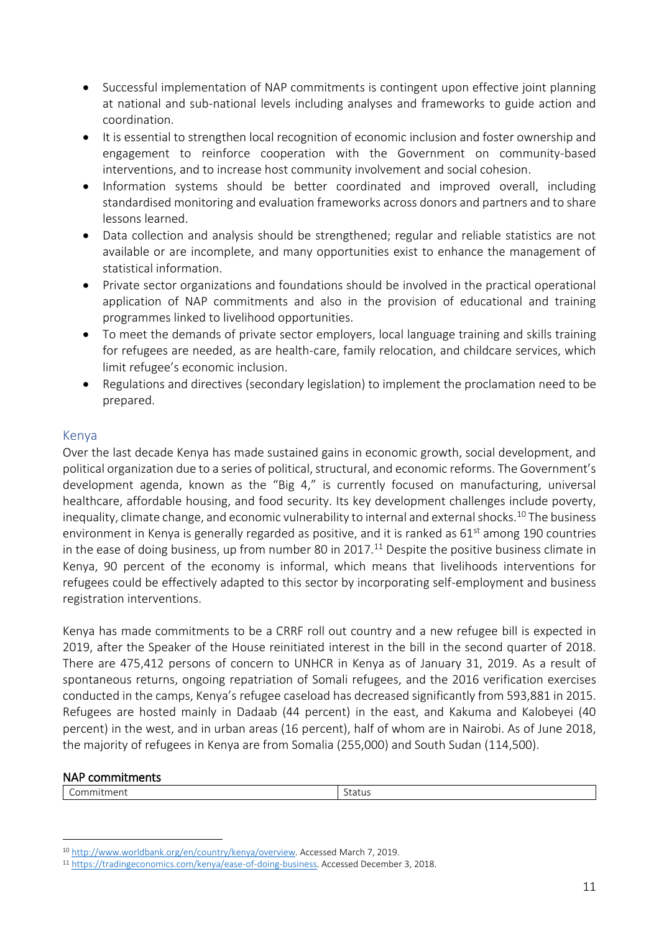- Successful implementation of NAP commitments is contingent upon effective joint planning at national and sub-national levels including analyses and frameworks to guide action and coordination.
- It is essential to strengthen local recognition of economic inclusion and foster ownership and engagement to reinforce cooperation with the Government on community-based interventions, and to increase host community involvement and social cohesion.
- Information systems should be better coordinated and improved overall, including standardised monitoring and evaluation frameworks across donors and partners and to share lessons learned.
- Data collection and analysis should be strengthened; regular and reliable statistics are not available or are incomplete, and many opportunities exist to enhance the management of statistical information.
- Private sector organizations and foundations should be involved in the practical operational application of NAP commitments and also in the provision of educational and training programmes linked to livelihood opportunities.
- To meet the demands of private sector employers, local language training and skills training for refugees are needed, as are health-care, family relocation, and childcare services, which limit refugee's economic inclusion.
- Regulations and directives (secondary legislation) to implement the proclamation need to be prepared.

## <span id="page-10-0"></span>Kenya

Over the last decade Kenya has made sustained gains in economic growth, social development, and political organization due to a series of political, structural, and economic reforms. The Government's development agenda, known as the "Big 4," is currently focused on manufacturing, universal healthcare, affordable housing, and food security. Its key development challenges include poverty, inequality, climate change, and economic vulnerability to internal and external shocks.<sup>10</sup> The business environment in Kenya is generally regarded as positive, and it is ranked as 61<sup>st</sup> among 190 countries in the ease of doing business, up from number 80 in 2017.<sup>11</sup> Despite the positive business climate in Kenya, 90 percent of the economy is informal, which means that livelihoods interventions for refugees could be effectively adapted to this sector by incorporating self-employment and business registration interventions.

Kenya has made commitments to be a CRRF roll out country and a new refugee bill is expected in 2019, after the Speaker of the House reinitiated interest in the bill in the second quarter of 2018. There are 475,412 persons of concern to UNHCR in Kenya as of January 31, 2019. As a result of spontaneous returns, ongoing repatriation of Somali refugees, and the 2016 verification exercises conducted in the camps, Kenya's refugee caseload has decreased significantly from 593,881 in 2015. Refugees are hosted mainly in Dadaab (44 percent) in the east, and Kakuma and Kalobeyei (40 percent) in the west, and in urban areas (16 percent), half of whom are in Nairobi. As of June 2018, the majority of refugees in Kenya are from Somalia (255,000) and South Sudan (114,500).

#### NAP commitments

 $\overline{a}$ 

| $. \cap F$<br>nm<br>ייכווג<br>.<br>$\check{ }$ | -<br>otatus |
|------------------------------------------------|-------------|
|                                                |             |

<sup>10</sup> [http://www.worldbank.org/en/country/kenya/overview.](http://www.worldbank.org/en/country/kenya/overview) Accessed March 7, 2019.

<sup>11</sup> [https://tradingeconomics.com/kenya/ease-of-doing-business.](https://tradingeconomics.com/kenya/ease-of-doing-business) Accessed December 3, 2018.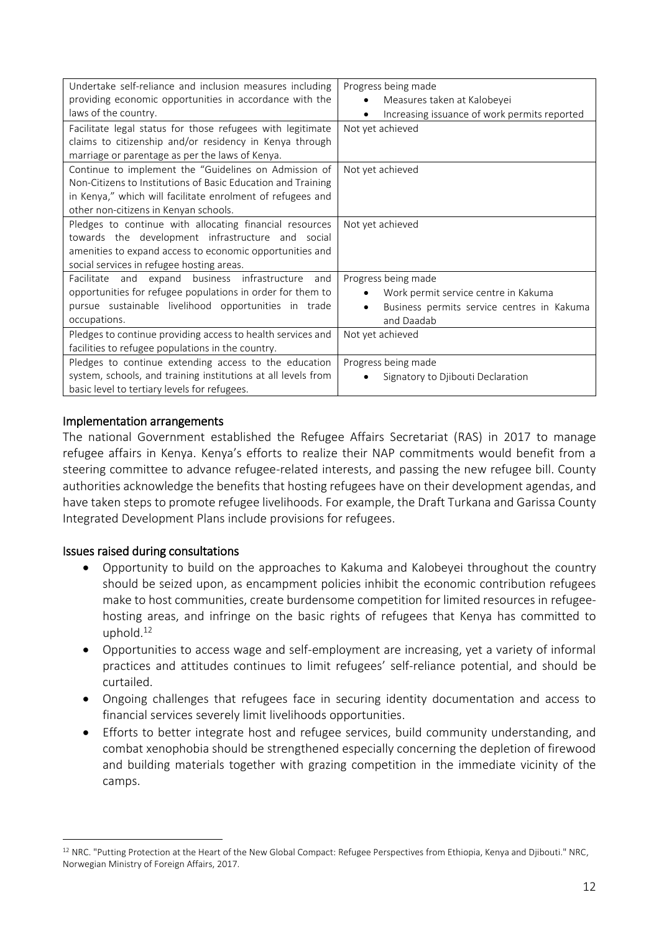| Undertake self-reliance and inclusion measures including      | Progress being made                                     |
|---------------------------------------------------------------|---------------------------------------------------------|
| providing economic opportunities in accordance with the       | Measures taken at Kalobeyei<br>$\bullet$                |
| laws of the country.                                          | Increasing issuance of work permits reported            |
| Facilitate legal status for those refugees with legitimate    | Not yet achieved                                        |
| claims to citizenship and/or residency in Kenya through       |                                                         |
| marriage or parentage as per the laws of Kenya.               |                                                         |
| Continue to implement the "Guidelines on Admission of         | Not yet achieved                                        |
| Non-Citizens to Institutions of Basic Education and Training  |                                                         |
| in Kenya," which will facilitate enrolment of refugees and    |                                                         |
| other non-citizens in Kenyan schools.                         |                                                         |
| Pledges to continue with allocating financial resources       | Not yet achieved                                        |
| towards the development infrastructure and social             |                                                         |
| amenities to expand access to economic opportunities and      |                                                         |
| social services in refugee hosting areas.                     |                                                         |
| Facilitate and expand business infrastructure<br>and          | Progress being made                                     |
| opportunities for refugee populations in order for them to    | Work permit service centre in Kakuma                    |
| pursue sustainable livelihood opportunities in trade          | Business permits service centres in Kakuma<br>$\bullet$ |
| occupations.                                                  | and Daadab                                              |
| Pledges to continue providing access to health services and   | Not yet achieved                                        |
| facilities to refugee populations in the country.             |                                                         |
| Pledges to continue extending access to the education         | Progress being made                                     |
| system, schools, and training institutions at all levels from | Signatory to Djibouti Declaration                       |
| basic level to tertiary levels for refugees.                  |                                                         |

### Implementation arrangements

The national Government established the Refugee Affairs Secretariat (RAS) in 2017 to manage refugee affairs in Kenya. Kenya's efforts to realize their NAP commitments would benefit from a steering committee to advance refugee-related interests, and passing the new refugee bill. County authorities acknowledge the benefits that hosting refugees have on their development agendas, and have taken steps to promote refugee livelihoods. For example, the Draft Turkana and Garissa County Integrated Development Plans include provisions for refugees.

## Issues raised during consultations

 $\overline{a}$ 

- Opportunity to build on the approaches to Kakuma and Kalobeyei throughout the country should be seized upon, as encampment policies inhibit the economic contribution refugees make to host communities, create burdensome competition for limited resources in refugeehosting areas, and infringe on the basic rights of refugees that Kenya has committed to uphold.<sup>12</sup>
- Opportunities to access wage and self-employment are increasing, yet a variety of informal practices and attitudes continues to limit refugees' self-reliance potential, and should be curtailed.
- Ongoing challenges that refugees face in securing identity documentation and access to financial services severely limit livelihoods opportunities.
- Efforts to better integrate host and refugee services, build community understanding, and combat xenophobia should be strengthened especially concerning the depletion of firewood and building materials together with grazing competition in the immediate vicinity of the camps.

<sup>12</sup> NRC. "Putting Protection at the Heart of the New Global Compact: Refugee Perspectives from Ethiopia, Kenya and Djibouti." NRC, Norwegian Ministry of Foreign Affairs, 2017.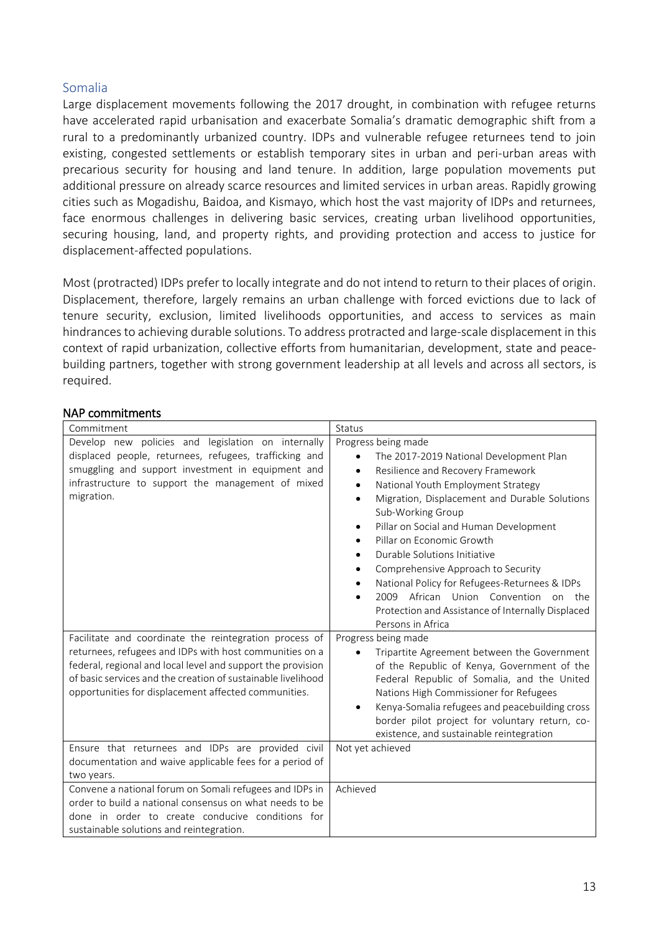## <span id="page-12-0"></span>Somalia

Large displacement movements following the 2017 drought, in combination with refugee returns have accelerated rapid urbanisation and exacerbate Somalia's dramatic demographic shift from a rural to a predominantly urbanized country. IDPs and vulnerable refugee returnees tend to join existing, congested settlements or establish temporary sites in urban and peri-urban areas with precarious security for housing and land tenure. In addition, large population movements put additional pressure on already scarce resources and limited services in urban areas. Rapidly growing cities such as Mogadishu, Baidoa, and Kismayo, which host the vast majority of IDPs and returnees, face enormous challenges in delivering basic services, creating urban livelihood opportunities, securing housing, land, and property rights, and providing protection and access to justice for displacement-affected populations.

Most (protracted) IDPs prefer to locally integrate and do not intend to return to their places of origin. Displacement, therefore, largely remains an urban challenge with forced evictions due to lack of tenure security, exclusion, limited livelihoods opportunities, and access to services as main hindrances to achieving durable solutions. To address protracted and large-scale displacement in this context of rapid urbanization, collective efforts from humanitarian, development, state and peacebuilding partners, together with strong government leadership at all levels and across all sectors, is required.

### NAP commitments

| Commitment                                                                                                                                                                                                                                                                                               | Status                                                                                                                                                                                                                                                                                                                                                                                                                                                                                                                                                                                                                |
|----------------------------------------------------------------------------------------------------------------------------------------------------------------------------------------------------------------------------------------------------------------------------------------------------------|-----------------------------------------------------------------------------------------------------------------------------------------------------------------------------------------------------------------------------------------------------------------------------------------------------------------------------------------------------------------------------------------------------------------------------------------------------------------------------------------------------------------------------------------------------------------------------------------------------------------------|
| Develop new policies and legislation on internally<br>displaced people, returnees, refugees, trafficking and<br>smuggling and support investment in equipment and<br>infrastructure to support the management of mixed<br>migration.                                                                     | Progress being made<br>The 2017-2019 National Development Plan<br>$\bullet$<br>Resilience and Recovery Framework<br>$\bullet$<br>National Youth Employment Strategy<br>$\bullet$<br>Migration, Displacement and Durable Solutions<br>$\bullet$<br>Sub-Working Group<br>Pillar on Social and Human Development<br>Pillar on Economic Growth<br>Durable Solutions Initiative<br>٠<br>Comprehensive Approach to Security<br>$\bullet$<br>National Policy for Refugees-Returnees & IDPs<br>$\bullet$<br>2009 African Union Convention<br>on the<br>Protection and Assistance of Internally Displaced<br>Persons in Africa |
| Facilitate and coordinate the reintegration process of<br>returnees, refugees and IDPs with host communities on a<br>federal, regional and local level and support the provision<br>of basic services and the creation of sustainable livelihood<br>opportunities for displacement affected communities. | Progress being made<br>Tripartite Agreement between the Government<br>of the Republic of Kenya, Government of the<br>Federal Republic of Somalia, and the United<br>Nations High Commissioner for Refugees<br>Kenya-Somalia refugees and peacebuilding cross<br>$\bullet$<br>border pilot project for voluntary return, co-<br>existence, and sustainable reintegration                                                                                                                                                                                                                                               |
| Ensure that returnees and IDPs are provided civil<br>documentation and waive applicable fees for a period of<br>two years.                                                                                                                                                                               | Not yet achieved                                                                                                                                                                                                                                                                                                                                                                                                                                                                                                                                                                                                      |
| Convene a national forum on Somali refugees and IDPs in<br>order to build a national consensus on what needs to be<br>done in order to create conducive conditions for<br>sustainable solutions and reintegration.                                                                                       | Achieved                                                                                                                                                                                                                                                                                                                                                                                                                                                                                                                                                                                                              |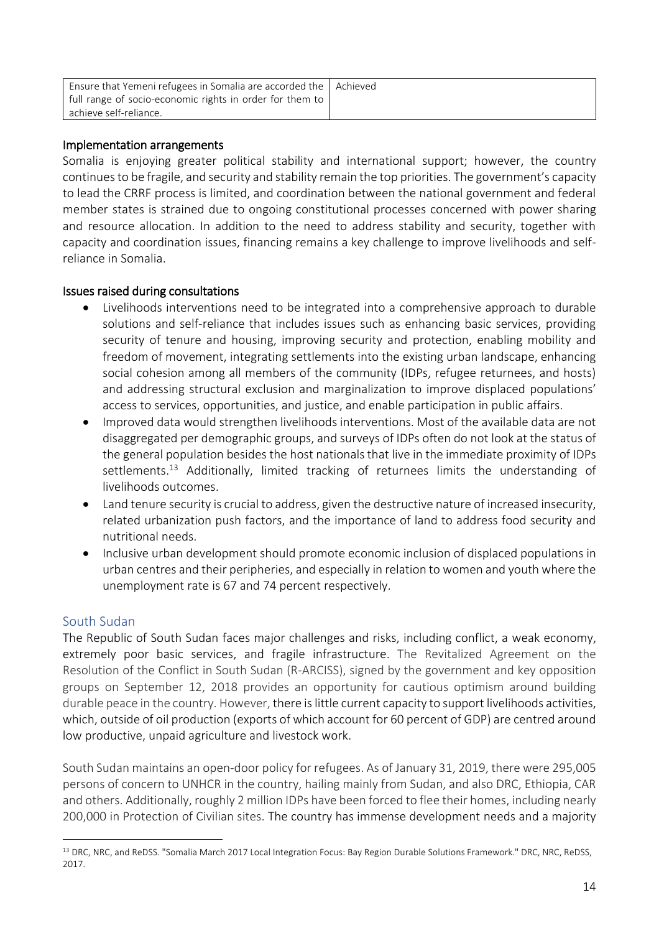| Ensure that Yemeni refugees in Somalia are accorded the   Achieved |  |
|--------------------------------------------------------------------|--|
| full range of socio-economic rights in order for them to           |  |
| achieve self-reliance.                                             |  |

### Implementation arrangements

Somalia is enjoying greater political stability and international support; however, the country continues to be fragile, and security and stability remain the top priorities. The government's capacity to lead the CRRF process is limited, and coordination between the national government and federal member states is strained due to ongoing constitutional processes concerned with power sharing and resource allocation. In addition to the need to address stability and security, together with capacity and coordination issues, financing remains a key challenge to improve livelihoods and selfreliance in Somalia.

### Issues raised during consultations

- Livelihoods interventions need to be integrated into a comprehensive approach to durable solutions and self-reliance that includes issues such as enhancing basic services, providing security of tenure and housing, improving security and protection, enabling mobility and freedom of movement, integrating settlements into the existing urban landscape, enhancing social cohesion among all members of the community (IDPs, refugee returnees, and hosts) and addressing structural exclusion and marginalization to improve displaced populations' access to services, opportunities, and justice, and enable participation in public affairs.
- Improved data would strengthen livelihoods interventions. Most of the available data are not disaggregated per demographic groups, and surveys of IDPs often do not look at the status of the general population besides the host nationals that live in the immediate proximity of IDPs settlements.<sup>13</sup> Additionally, limited tracking of returnees limits the understanding of livelihoods outcomes.
- Land tenure security is crucial to address, given the destructive nature of increased insecurity, related urbanization push factors, and the importance of land to address food security and nutritional needs.
- Inclusive urban development should promote economic inclusion of displaced populations in urban centres and their peripheries, and especially in relation to women and youth where the unemployment rate is 67 and 74 percent respectively.

## <span id="page-13-0"></span>South Sudan

 $\overline{a}$ 

The Republic of South Sudan faces major challenges and risks, including conflict, a weak economy, extremely poor basic services, and fragile infrastructure. The Revitalized Agreement on the Resolution of the Conflict in South Sudan (R-ARCISS), signed by the government and key opposition groups on September 12, 2018 provides an opportunity for cautious optimism around building durable peace in the country. However, there is little current capacity to support livelihoods activities, which, outside of oil production (exports of which account for 60 percent of GDP) are centred around low productive, unpaid agriculture and livestock work.

South Sudan maintains an open-door policy for refugees. As of January 31, 2019, there were 295,005 persons of concern to UNHCR in the country, hailing mainly from Sudan, and also DRC, Ethiopia, CAR and others. Additionally, roughly 2 million IDPs have been forced to flee their homes, including nearly 200,000 in Protection of Civilian sites. The country has immense development needs and a majority

<sup>13</sup> DRC, NRC, and ReDSS. "Somalia March 2017 Local Integration Focus: Bay Region Durable Solutions Framework." DRC, NRC, ReDSS, 2017.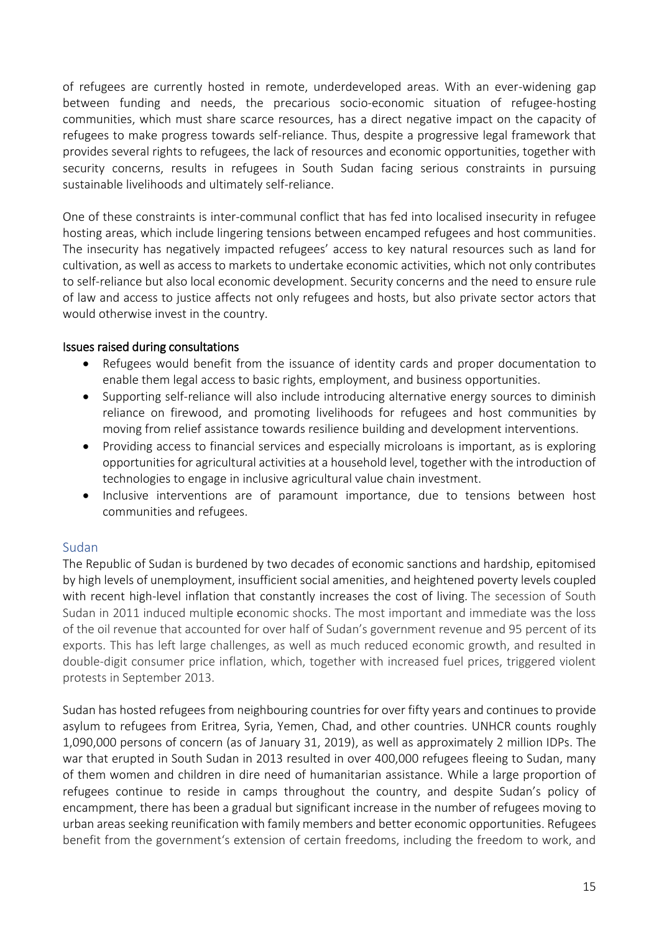of refugees are currently hosted in remote, underdeveloped areas. With an ever-widening gap between funding and needs, the precarious socio-economic situation of refugee-hosting communities, which must share scarce resources, has a direct negative impact on the capacity of refugees to make progress towards self-reliance. Thus, despite a progressive legal framework that provides several rights to refugees, the lack of resources and economic opportunities, together with security concerns, results in refugees in South Sudan facing serious constraints in pursuing sustainable livelihoods and ultimately self-reliance.

One of these constraints is inter-communal conflict that has fed into localised insecurity in refugee hosting areas, which include lingering tensions between encamped refugees and host communities. The insecurity has negatively impacted refugees' access to key natural resources such as land for cultivation, as well as access to markets to undertake economic activities, which not only contributes to self-reliance but also local economic development. Security concerns and the need to ensure rule of law and access to justice affects not only refugees and hosts, but also private sector actors that would otherwise invest in the country.

## Issues raised during consultations

- Refugees would benefit from the issuance of identity cards and proper documentation to enable them legal access to basic rights, employment, and business opportunities.
- Supporting self-reliance will also include introducing alternative energy sources to diminish reliance on firewood, and promoting livelihoods for refugees and host communities by moving from relief assistance towards resilience building and development interventions.
- Providing access to financial services and especially microloans is important, as is exploring opportunities for agricultural activities at a household level, together with the introduction of technologies to engage in inclusive agricultural value chain investment.
- Inclusive interventions are of paramount importance, due to tensions between host communities and refugees.

# <span id="page-14-0"></span>Sudan

The Republic of Sudan is burdened by two decades of economic sanctions and hardship, epitomised by high levels of unemployment, insufficient social amenities, and heightened poverty levels coupled with recent high-level inflation that constantly increases the cost of living. The secession of South Sudan in 2011 induced multiple economic shocks. The most important and immediate was the loss of the oil revenue that accounted for over half of Sudan's government revenue and 95 percent of its exports. This has left large challenges, as well as much reduced economic growth, and resulted in double-digit consumer price inflation, which, together with increased fuel prices, triggered violent protests in September 2013.

Sudan has hosted refugees from neighbouring countries for over fifty years and continues to provide asylum to refugees from Eritrea, Syria, Yemen, Chad, and other countries. UNHCR counts roughly 1,090,000 persons of concern (as of January 31, 2019), as well as approximately 2 million IDPs. The war that erupted in South Sudan in 2013 resulted in over 400,000 refugees fleeing to Sudan, many of them women and children in dire need of humanitarian assistance. While a large proportion of refugees continue to reside in camps throughout the country, and despite Sudan's policy of encampment, there has been a gradual but significant increase in the number of refugees moving to urban areas seeking reunification with family members and better economic opportunities. Refugees benefit from the government's extension of certain freedoms, including the freedom to work, and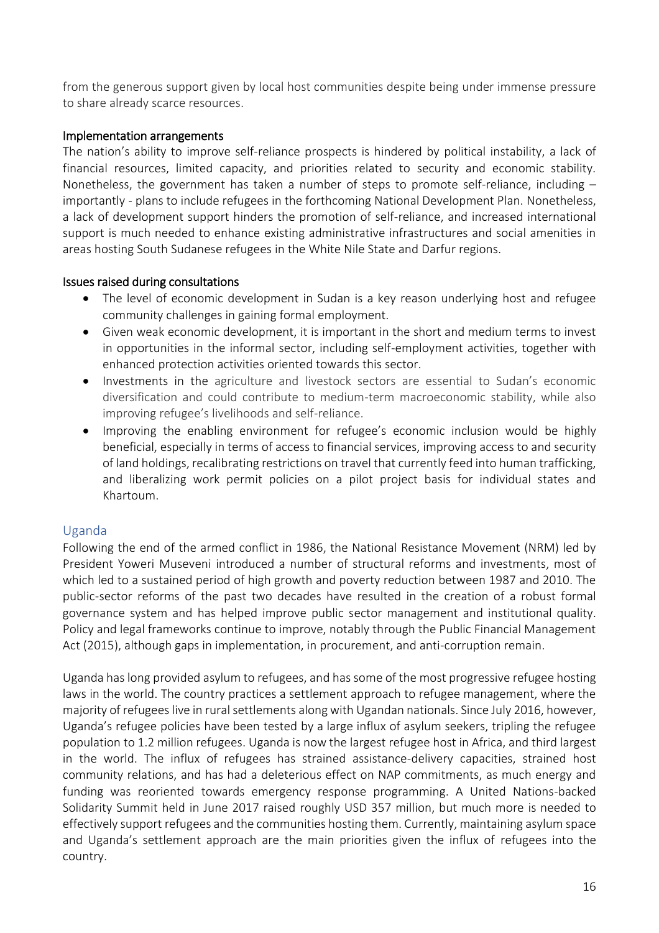from the generous support given by local host communities despite being under immense pressure to share already scarce resources.

## Implementation arrangements

The nation's ability to improve self-reliance prospects is hindered by political instability, a lack of financial resources, limited capacity, and priorities related to security and economic stability. Nonetheless, the government has taken a number of steps to promote self-reliance, including – importantly - plans to include refugees in the forthcoming National Development Plan. Nonetheless, a lack of development support hinders the promotion of self-reliance, and increased international support is much needed to enhance existing administrative infrastructures and social amenities in areas hosting South Sudanese refugees in the White Nile State and Darfur regions.

## Issues raised during consultations

- The level of economic development in Sudan is a key reason underlying host and refugee community challenges in gaining formal employment.
- Given weak economic development, it is important in the short and medium terms to invest in opportunities in the informal sector, including self-employment activities, together with enhanced protection activities oriented towards this sector.
- Investments in the agriculture and livestock sectors are essential to Sudan's economic diversification and could contribute to medium-term macroeconomic stability, while also improving refugee's livelihoods and self-reliance.
- Improving the enabling environment for refugee's economic inclusion would be highly beneficial, especially in terms of access to financial services, improving access to and security of land holdings, recalibrating restrictions on travel that currently feed into human trafficking, and liberalizing work permit policies on a pilot project basis for individual states and Khartoum.

# <span id="page-15-0"></span>Uganda

Following the end of the armed conflict in 1986, the National Resistance Movement (NRM) led by President Yoweri Museveni introduced a number of structural reforms and investments, most of which led to a sustained period of high growth and poverty reduction between 1987 and 2010. The public-sector reforms of the past two decades have resulted in the creation of a robust formal governance system and has helped improve public sector management and institutional quality. Policy and legal frameworks continue to improve, notably through the Public Financial Management Act (2015), although gaps in implementation, in procurement, and anti-corruption remain.

Uganda has long provided asylum to refugees, and has some of the most progressive refugee hosting laws in the world. The country practices a settlement approach to refugee management, where the majority of refugees live in rural settlements along with Ugandan nationals. Since July 2016, however, Uganda's refugee policies have been tested by a large influx of asylum seekers, tripling the refugee population to 1.2 million refugees. Uganda is now the largest refugee host in Africa, and third largest in the world. The influx of refugees has strained assistance-delivery capacities, strained host community relations, and has had a deleterious effect on NAP commitments, as much energy and funding was reoriented towards emergency response programming. A United Nations-backed Solidarity Summit held in June 2017 raised roughly USD 357 million, but much more is needed to effectively support refugees and the communities hosting them. Currently, maintaining asylum space and Uganda's settlement approach are the main priorities given the influx of refugees into the country.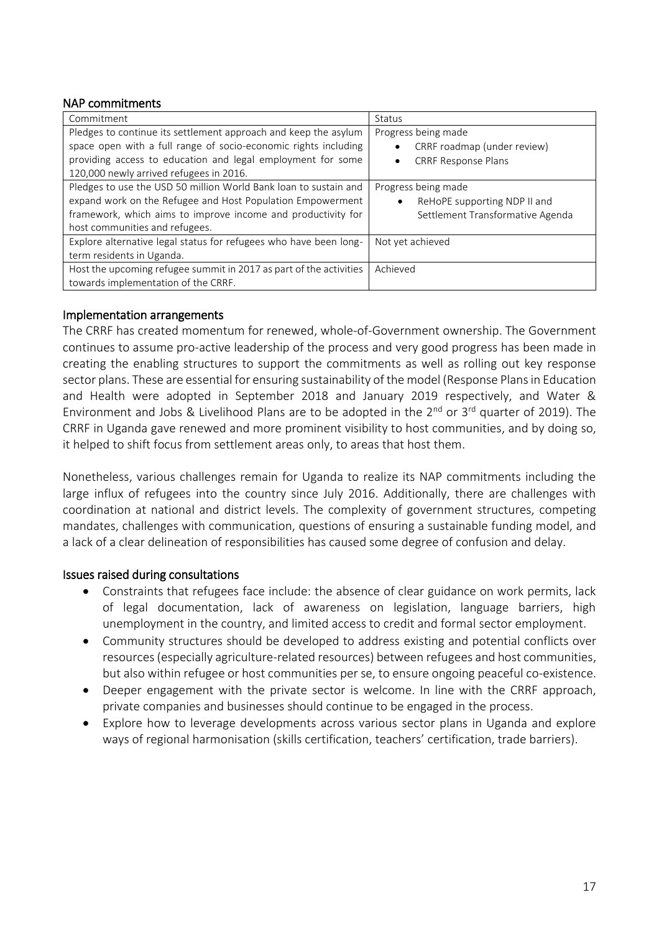### NAP commitments

| Commitment                                                         | Status                            |
|--------------------------------------------------------------------|-----------------------------------|
| Pledges to continue its settlement approach and keep the asylum    | Progress being made               |
| space open with a full range of socio-economic rights including    | CRRF roadmap (under review)       |
| providing access to education and legal employment for some        | <b>CRRF Response Plans</b>        |
| 120,000 newly arrived refugees in 2016.                            |                                   |
| Pledges to use the USD 50 million World Bank loan to sustain and   | Progress being made               |
| expand work on the Refugee and Host Population Empowerment         | ReHoPE supporting NDP II and<br>٠ |
| framework, which aims to improve income and productivity for       | Settlement Transformative Agenda  |
| host communities and refugees.                                     |                                   |
| Explore alternative legal status for refugees who have been long-  | Not yet achieved                  |
| term residents in Uganda.                                          |                                   |
| Host the upcoming refugee summit in 2017 as part of the activities | Achieved                          |
| towards implementation of the CRRF.                                |                                   |

### Implementation arrangements

The CRRF has created momentum for renewed, whole-of-Government ownership. The Government continues to assume pro-active leadership of the process and very good progress has been made in creating the enabling structures to support the commitments as well as rolling out key response sector plans. These are essential for ensuring sustainability of the model (Response Plans in Education and Health were adopted in September 2018 and January 2019 respectively, and Water & Environment and Jobs & Livelihood Plans are to be adopted in the 2<sup>nd</sup> or 3<sup>rd</sup> quarter of 2019). The CRRF in Uganda gave renewed and more prominent visibility to host communities, and by doing so, it helped to shift focus from settlement areas only, to areas that host them.

Nonetheless, various challenges remain for Uganda to realize its NAP commitments including the large influx of refugees into the country since July 2016. Additionally, there are challenges with coordination at national and district levels. The complexity of government structures, competing mandates, challenges with communication, questions of ensuring a sustainable funding model, and a lack of a clear delineation of responsibilities has caused some degree of confusion and delay.

#### Issues raised during consultations

- Constraints that refugees face include: the absence of clear guidance on work permits, lack of legal documentation, lack of awareness on legislation, language barriers, high unemployment in the country, and limited access to credit and formal sector employment.
- Community structures should be developed to address existing and potential conflicts over resources (especially agriculture-related resources) between refugees and host communities, but also within refugee or host communities per se, to ensure ongoing peaceful co-existence.
- Deeper engagement with the private sector is welcome. In line with the CRRF approach, private companies and businesses should continue to be engaged in the process.
- Explore how to leverage developments across various sector plans in Uganda and explore ways of regional harmonisation (skills certification, teachers' certification, trade barriers).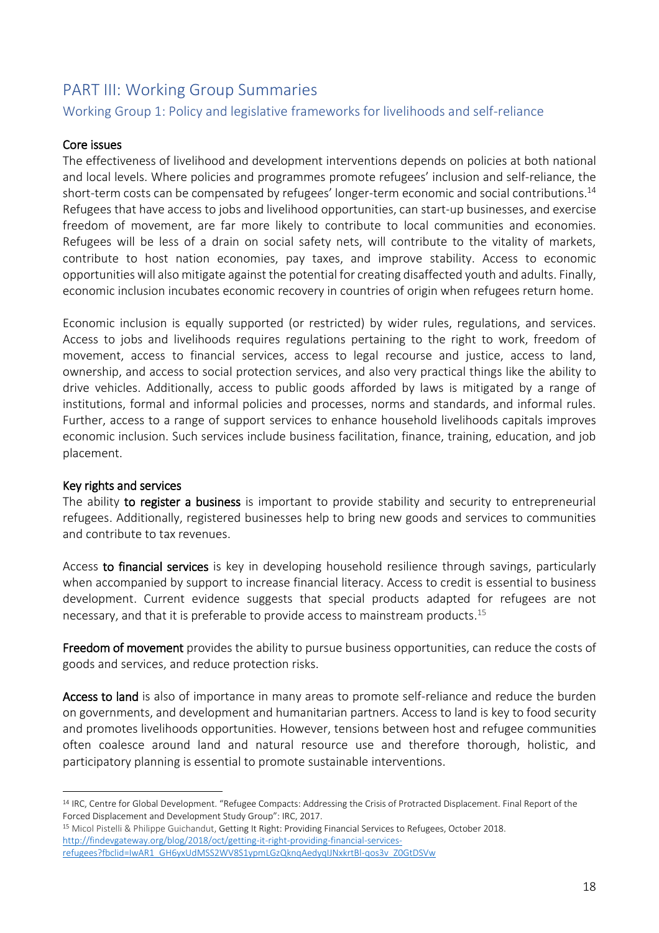# <span id="page-17-0"></span>PART III: Working Group Summaries

# <span id="page-17-1"></span>Working Group 1: Policy and legislative frameworks for livelihoods and self-reliance

## Core issues

The effectiveness of livelihood and development interventions depends on policies at both national and local levels. Where policies and programmes promote refugees' inclusion and self-reliance, the short-term costs can be compensated by refugees' longer-term economic and social contributions.<sup>14</sup> Refugees that have access to jobs and livelihood opportunities, can start-up businesses, and exercise freedom of movement, are far more likely to contribute to local communities and economies. Refugees will be less of a drain on social safety nets, will contribute to the vitality of markets, contribute to host nation economies, pay taxes, and improve stability. Access to economic opportunities will also mitigate against the potential for creating disaffected youth and adults. Finally, economic inclusion incubates economic recovery in countries of origin when refugees return home.

Economic inclusion is equally supported (or restricted) by wider rules, regulations, and services. Access to jobs and livelihoods requires regulations pertaining to the right to work, freedom of movement, access to financial services, access to legal recourse and justice, access to land, ownership, and access to social protection services, and also very practical things like the ability to drive vehicles. Additionally, access to public goods afforded by laws is mitigated by a range of institutions, formal and informal policies and processes, norms and standards, and informal rules. Further, access to a range of support services to enhance household livelihoods capitals improves economic inclusion. Such services include business facilitation, finance, training, education, and job placement.

#### Key rights and services

 $\overline{a}$ 

The ability to register a business is important to provide stability and security to entrepreneurial refugees. Additionally, registered businesses help to bring new goods and services to communities and contribute to tax revenues.

Access to financial services is key in developing household resilience through savings, particularly when accompanied by support to increase financial literacy. Access to credit is essential to business development. Current evidence suggests that special products adapted for refugees are not necessary, and that it is preferable to provide access to mainstream products. 15

Freedom of movement provides the ability to pursue business opportunities, can reduce the costs of goods and services, and reduce protection risks.

Access to land is also of importance in many areas to promote self-reliance and reduce the burden on governments, and development and humanitarian partners. Access to land is key to food security and promotes livelihoods opportunities. However, tensions between host and refugee communities often coalesce around land and natural resource use and therefore thorough, holistic, and participatory planning is essential to promote sustainable interventions.

<sup>14</sup> IRC, Centre for Global Development. "Refugee Compacts: Addressing the Crisis of Protracted Displacement. Final Report of the Forced Displacement and Development Study Group": IRC, 2017.

<sup>15</sup> Micol Pistelli & Philippe Guichandut, Getting It Right: Providing Financial Services to Refugees, October 2018. [http://findevgateway.org/blog/2018/oct/getting-it-right-providing-financial-services](http://findevgateway.org/blog/2018/oct/getting-it-right-providing-financial-services-refugees?fbclid=IwAR1_GH6yxUdMSS2WV8S1ypmLGzQknqAedyqIJNxkrtBl-qos3v_Z0GtDSVw)[refugees?fbclid=IwAR1\\_GH6yxUdMSS2WV8S1ypmLGzQknqAedyqIJNxkrtBl-qos3v\\_Z0GtDSVw](http://findevgateway.org/blog/2018/oct/getting-it-right-providing-financial-services-refugees?fbclid=IwAR1_GH6yxUdMSS2WV8S1ypmLGzQknqAedyqIJNxkrtBl-qos3v_Z0GtDSVw)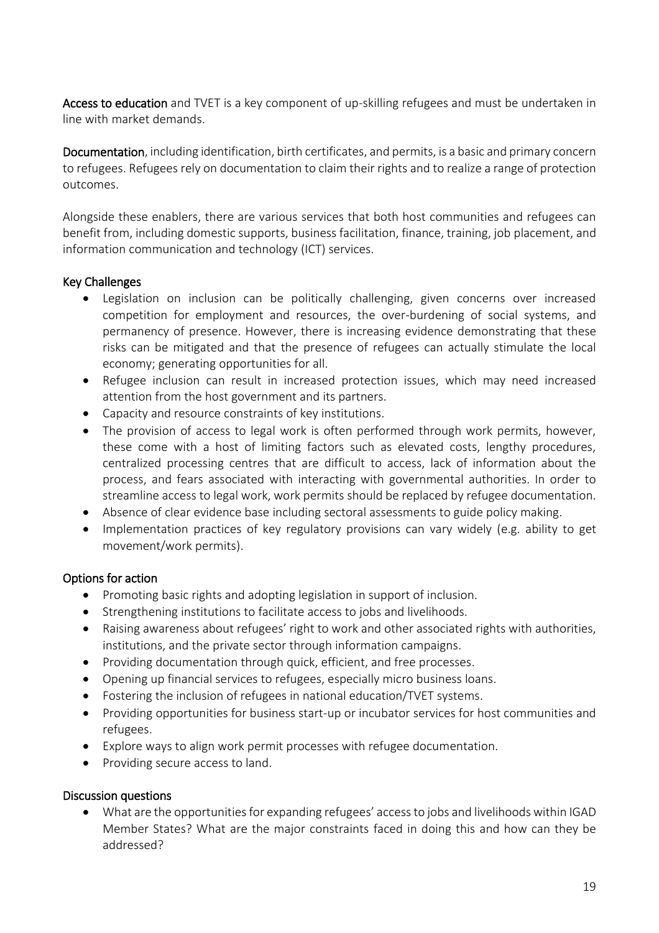Access to education and TVET is a key component of up-skilling refugees and must be undertaken in line with market demands.

Documentation, including identification, birth certificates, and permits, is a basic and primary concern to refugees. Refugees rely on documentation to claim their rights and to realize a range of protection outcomes.

Alongside these enablers, there are various services that both host communities and refugees can benefit from, including domestic supports, business facilitation, finance, training, job placement, and information communication and technology (ICT) services.

## Key Challenges

- Legislation on inclusion can be politically challenging, given concerns over increased competition for employment and resources, the over-burdening of social systems, and permanency of presence. However, there is increasing evidence demonstrating that these risks can be mitigated and that the presence of refugees can actually stimulate the local economy; generating opportunities for all.
- Refugee inclusion can result in increased protection issues, which may need increased attention from the host government and its partners.
- Capacity and resource constraints of key institutions.
- The provision of access to legal work is often performed through work permits, however, these come with a host of limiting factors such as elevated costs, lengthy procedures, centralized processing centres that are difficult to access, lack of information about the process, and fears associated with interacting with governmental authorities. In order to streamline access to legal work, work permits should be replaced by refugee documentation.
- Absence of clear evidence base including sectoral assessments to guide policy making.
- Implementation practices of key regulatory provisions can vary widely (e.g. ability to get movement/work permits).

## Options for action

- Promoting basic rights and adopting legislation in support of inclusion.
- Strengthening institutions to facilitate access to jobs and livelihoods.
- Raising awareness about refugees' right to work and other associated rights with authorities, institutions, and the private sector through information campaigns.
- Providing documentation through quick, efficient, and free processes.
- Opening up financial services to refugees, especially micro business loans.
- Fostering the inclusion of refugees in national education/TVET systems.
- Providing opportunities for business start-up or incubator services for host communities and refugees.
- Explore ways to align work permit processes with refugee documentation.
- Providing secure access to land.

## Discussion questions

 What are the opportunities for expanding refugees' access to jobs and livelihoods within IGAD Member States? What are the major constraints faced in doing this and how can they be addressed?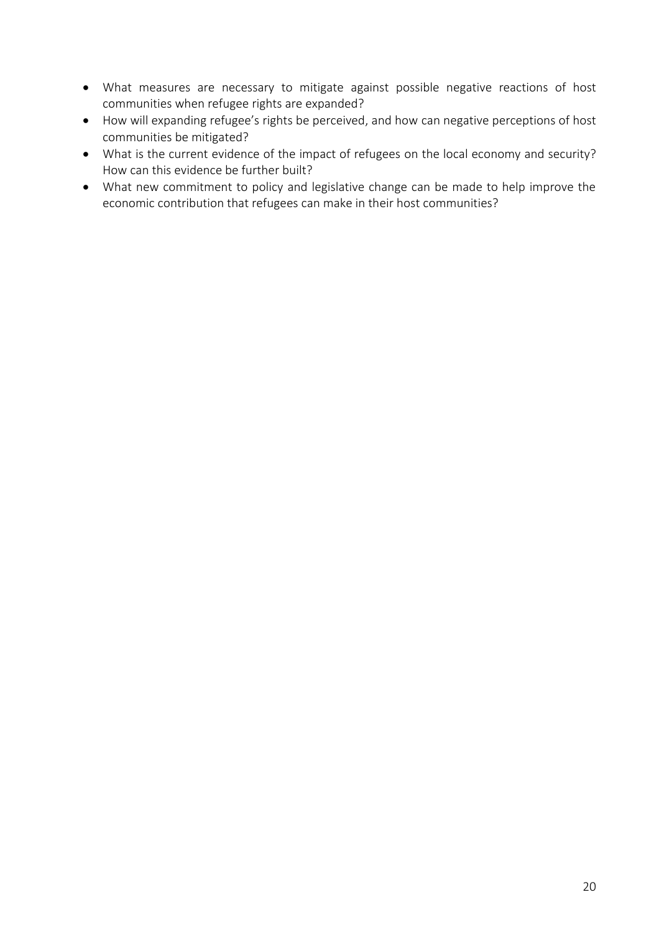- What measures are necessary to mitigate against possible negative reactions of host communities when refugee rights are expanded?
- How will expanding refugee's rights be perceived, and how can negative perceptions of host communities be mitigated?
- What is the current evidence of the impact of refugees on the local economy and security? How can this evidence be further built?
- What new commitment to policy and legislative change can be made to help improve the economic contribution that refugees can make in their host communities?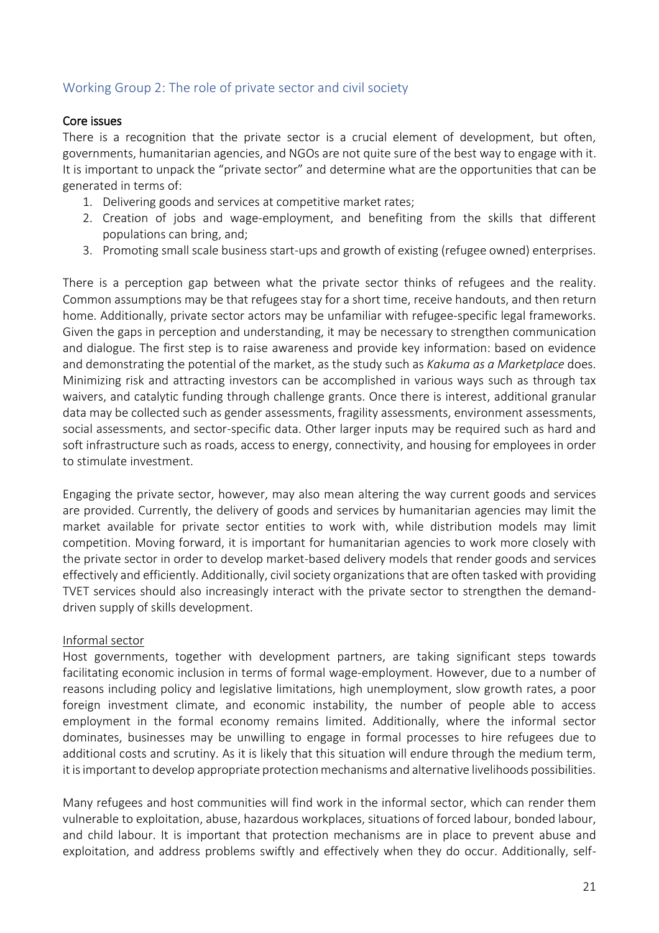# <span id="page-20-0"></span>Working Group 2: The role of private sector and civil society

### Core issues

There is a recognition that the private sector is a crucial element of development, but often, governments, humanitarian agencies, and NGOs are not quite sure of the best way to engage with it. It is important to unpack the "private sector" and determine what are the opportunities that can be generated in terms of:

- 1. Delivering goods and services at competitive market rates;
- 2. Creation of jobs and wage-employment, and benefiting from the skills that different populations can bring, and;
- 3. Promoting small scale business start-ups and growth of existing (refugee owned) enterprises.

There is a perception gap between what the private sector thinks of refugees and the reality. Common assumptions may be that refugees stay for a short time, receive handouts, and then return home. Additionally, private sector actors may be unfamiliar with refugee-specific legal frameworks. Given the gaps in perception and understanding, it may be necessary to strengthen communication and dialogue. The first step is to raise awareness and provide key information: based on evidence and demonstrating the potential of the market, as the study such as *Kakuma as a Marketplace* does. Minimizing risk and attracting investors can be accomplished in various ways such as through tax waivers, and catalytic funding through challenge grants. Once there is interest, additional granular data may be collected such as gender assessments, fragility assessments, environment assessments, social assessments, and sector-specific data. Other larger inputs may be required such as hard and soft infrastructure such as roads, access to energy, connectivity, and housing for employees in order to stimulate investment.

Engaging the private sector, however, may also mean altering the way current goods and services are provided. Currently, the delivery of goods and services by humanitarian agencies may limit the market available for private sector entities to work with, while distribution models may limit competition. Moving forward, it is important for humanitarian agencies to work more closely with the private sector in order to develop market-based delivery models that render goods and services effectively and efficiently. Additionally, civil society organizations that are often tasked with providing TVET services should also increasingly interact with the private sector to strengthen the demanddriven supply of skills development.

## Informal sector

Host governments, together with development partners, are taking significant steps towards facilitating economic inclusion in terms of formal wage-employment. However, due to a number of reasons including policy and legislative limitations, high unemployment, slow growth rates, a poor foreign investment climate, and economic instability, the number of people able to access employment in the formal economy remains limited. Additionally, where the informal sector dominates, businesses may be unwilling to engage in formal processes to hire refugees due to additional costs and scrutiny. As it is likely that this situation will endure through the medium term, it is important to develop appropriate protection mechanisms and alternative livelihoods possibilities.

Many refugees and host communities will find work in the informal sector, which can render them vulnerable to exploitation, abuse, hazardous workplaces, situations of forced labour, bonded labour, and child labour. It is important that protection mechanisms are in place to prevent abuse and exploitation, and address problems swiftly and effectively when they do occur. Additionally, self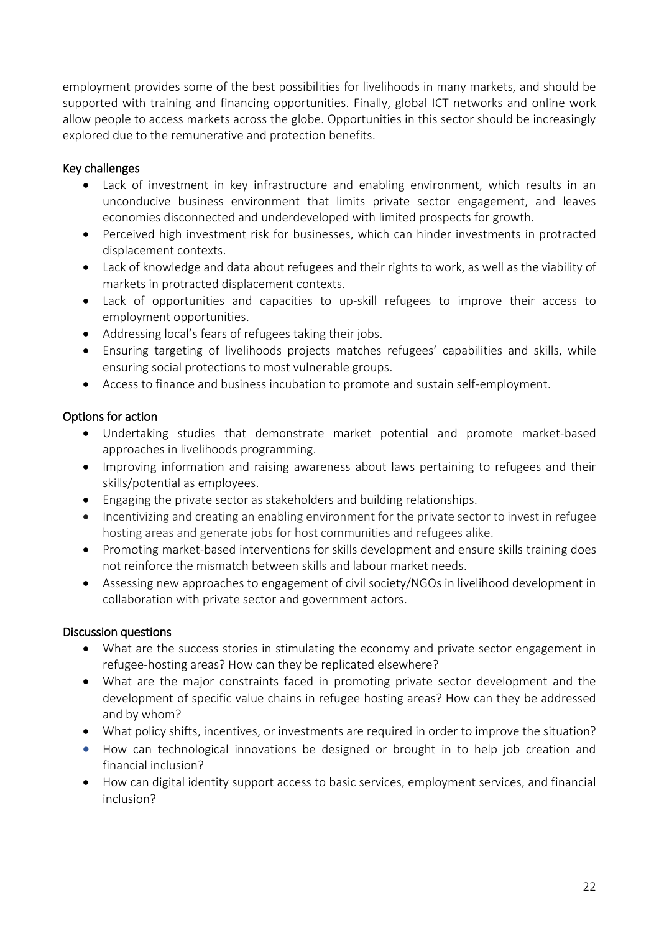employment provides some of the best possibilities for livelihoods in many markets, and should be supported with training and financing opportunities. Finally, global ICT networks and online work allow people to access markets across the globe. Opportunities in this sector should be increasingly explored due to the remunerative and protection benefits.

## Key challenges

- Lack of investment in key infrastructure and enabling environment, which results in an unconducive business environment that limits private sector engagement, and leaves economies disconnected and underdeveloped with limited prospects for growth.
- Perceived high investment risk for businesses, which can hinder investments in protracted displacement contexts.
- Lack of knowledge and data about refugees and their rights to work, as well as the viability of markets in protracted displacement contexts.
- Lack of opportunities and capacities to up-skill refugees to improve their access to employment opportunities.
- Addressing local's fears of refugees taking their jobs.
- Ensuring targeting of livelihoods projects matches refugees' capabilities and skills, while ensuring social protections to most vulnerable groups.
- Access to finance and business incubation to promote and sustain self-employment.

## Options for action

- Undertaking studies that demonstrate market potential and promote market-based approaches in livelihoods programming.
- Improving information and raising awareness about laws pertaining to refugees and their skills/potential as employees.
- Engaging the private sector as stakeholders and building relationships.
- Incentivizing and creating an enabling environment for the private sector to invest in refugee hosting areas and generate jobs for host communities and refugees alike.
- Promoting market-based interventions for skills development and ensure skills training does not reinforce the mismatch between skills and labour market needs.
- Assessing new approaches to engagement of civil society/NGOs in livelihood development in collaboration with private sector and government actors.

## Discussion questions

- What are the success stories in stimulating the economy and private sector engagement in refugee-hosting areas? How can they be replicated elsewhere?
- What are the major constraints faced in promoting private sector development and the development of specific value chains in refugee hosting areas? How can they be addressed and by whom?
- What policy shifts, incentives, or investments are required in order to improve the situation?
- How can technological innovations be designed or brought in to help job creation and financial inclusion?
- How can digital identity support access to basic services, employment services, and financial inclusion?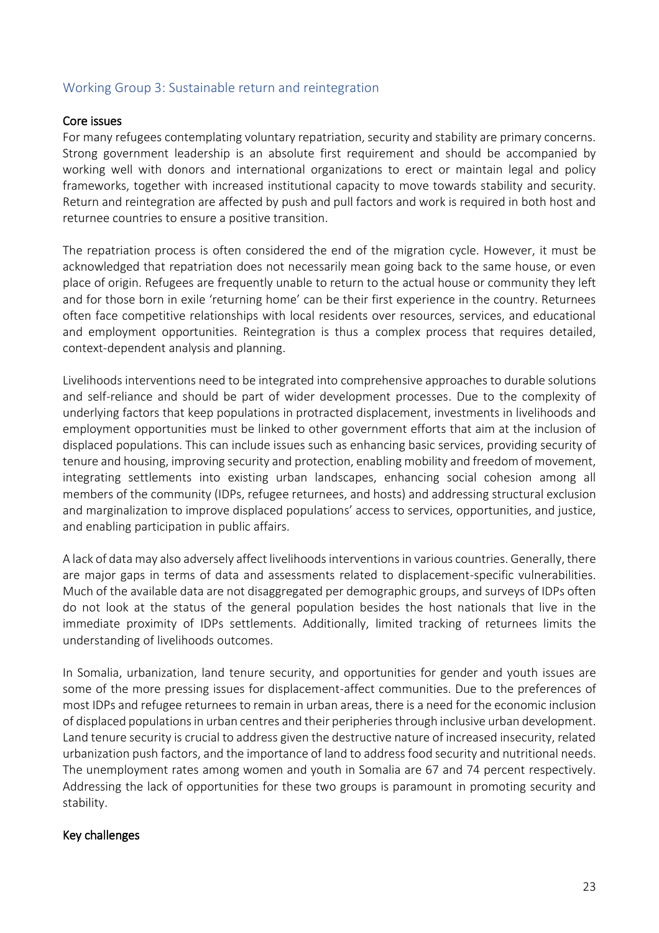## <span id="page-22-0"></span>Working Group 3: Sustainable return and reintegration

#### Core issues

For many refugees contemplating voluntary repatriation, security and stability are primary concerns. Strong government leadership is an absolute first requirement and should be accompanied by working well with donors and international organizations to erect or maintain legal and policy frameworks, together with increased institutional capacity to move towards stability and security. Return and reintegration are affected by push and pull factors and work is required in both host and returnee countries to ensure a positive transition.

The repatriation process is often considered the end of the migration cycle. However, it must be acknowledged that repatriation does not necessarily mean going back to the same house, or even place of origin. Refugees are frequently unable to return to the actual house or community they left and for those born in exile 'returning home' can be their first experience in the country. Returnees often face competitive relationships with local residents over resources, services, and educational and employment opportunities. Reintegration is thus a complex process that requires detailed, context-dependent analysis and planning.

Livelihoods interventions need to be integrated into comprehensive approaches to durable solutions and self-reliance and should be part of wider development processes. Due to the complexity of underlying factors that keep populations in protracted displacement, investments in livelihoods and employment opportunities must be linked to other government efforts that aim at the inclusion of displaced populations. This can include issues such as enhancing basic services, providing security of tenure and housing, improving security and protection, enabling mobility and freedom of movement, integrating settlements into existing urban landscapes, enhancing social cohesion among all members of the community (IDPs, refugee returnees, and hosts) and addressing structural exclusion and marginalization to improve displaced populations' access to services, opportunities, and justice, and enabling participation in public affairs.

A lack of data may also adversely affect livelihoods interventions in various countries. Generally, there are major gaps in terms of data and assessments related to displacement-specific vulnerabilities. Much of the available data are not disaggregated per demographic groups, and surveys of IDPs often do not look at the status of the general population besides the host nationals that live in the immediate proximity of IDPs settlements. Additionally, limited tracking of returnees limits the understanding of livelihoods outcomes.

In Somalia, urbanization, land tenure security, and opportunities for gender and youth issues are some of the more pressing issues for displacement-affect communities. Due to the preferences of most IDPs and refugee returnees to remain in urban areas, there is a need for the economic inclusion of displaced populations in urban centres and their peripheries through inclusive urban development. Land tenure security is crucial to address given the destructive nature of increased insecurity, related urbanization push factors, and the importance of land to address food security and nutritional needs. The unemployment rates among women and youth in Somalia are 67 and 74 percent respectively. Addressing the lack of opportunities for these two groups is paramount in promoting security and stability.

#### Key challenges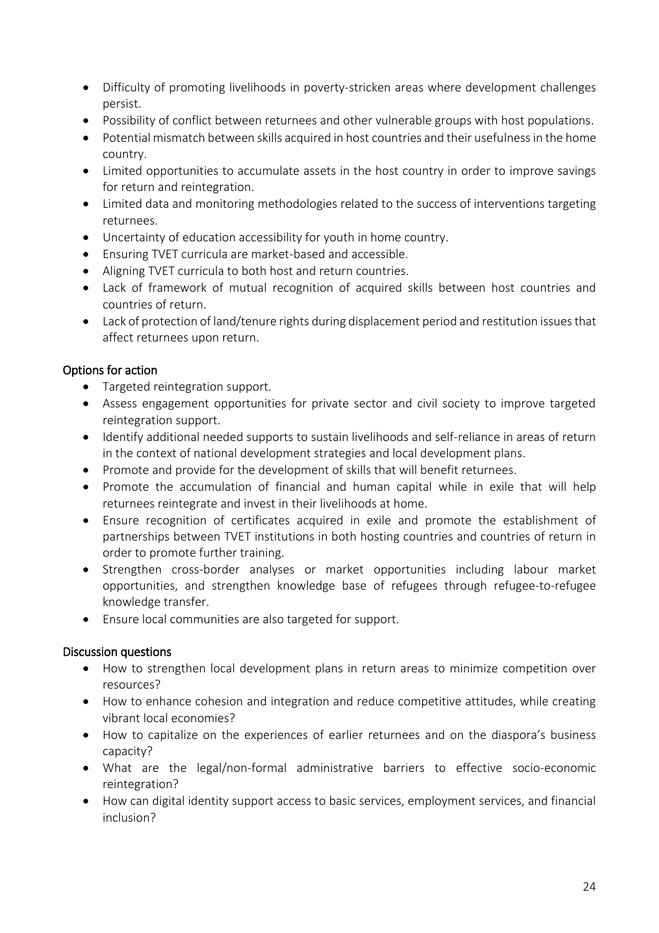- Difficulty of promoting livelihoods in poverty-stricken areas where development challenges persist.
- Possibility of conflict between returnees and other vulnerable groups with host populations.
- Potential mismatch between skills acquired in host countries and their usefulnessin the home country.
- Limited opportunities to accumulate assets in the host country in order to improve savings for return and reintegration.
- Limited data and monitoring methodologies related to the success of interventions targeting returnees.
- Uncertainty of education accessibility for youth in home country.
- Ensuring TVET curricula are market-based and accessible.
- Aligning TVET curricula to both host and return countries.
- Lack of framework of mutual recognition of acquired skills between host countries and countries of return.
- Lack of protection of land/tenure rights during displacement period and restitution issues that affect returnees upon return.

## Options for action

- Targeted reintegration support.
- Assess engagement opportunities for private sector and civil society to improve targeted reintegration support.
- Identify additional needed supports to sustain livelihoods and self-reliance in areas of return in the context of national development strategies and local development plans.
- Promote and provide for the development of skills that will benefit returnees.
- Promote the accumulation of financial and human capital while in exile that will help returnees reintegrate and invest in their livelihoods at home.
- Ensure recognition of certificates acquired in exile and promote the establishment of partnerships between TVET institutions in both hosting countries and countries of return in order to promote further training.
- Strengthen cross-border analyses or market opportunities including labour market opportunities, and strengthen knowledge base of refugees through refugee-to-refugee knowledge transfer.
- Ensure local communities are also targeted for support.

## Discussion questions

- How to strengthen local development plans in return areas to minimize competition over resources?
- How to enhance cohesion and integration and reduce competitive attitudes, while creating vibrant local economies?
- How to capitalize on the experiences of earlier returnees and on the diaspora's business capacity?
- What are the legal/non-formal administrative barriers to effective socio-economic reintegration?
- How can digital identity support access to basic services, employment services, and financial inclusion?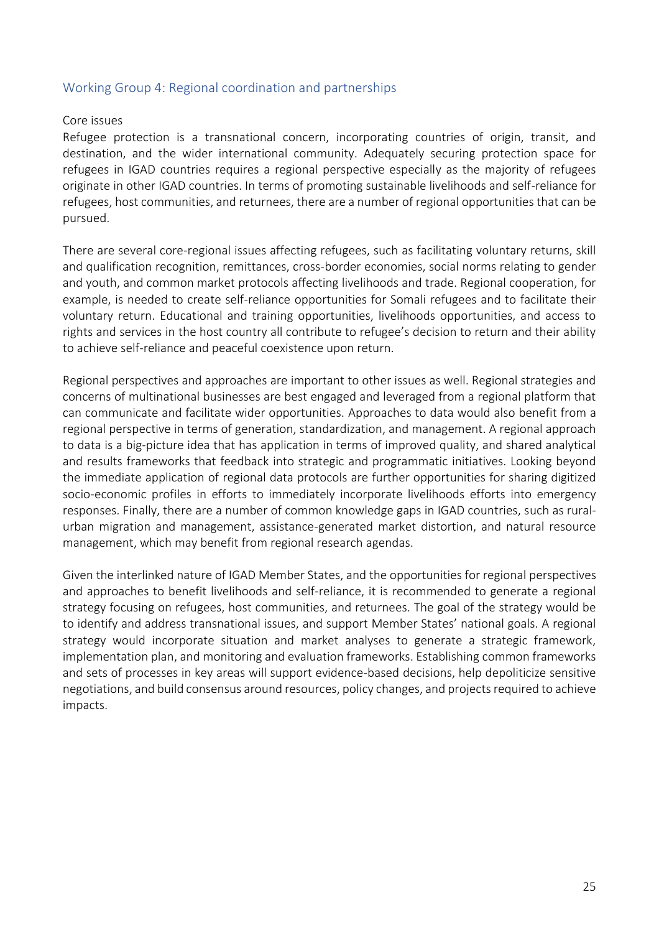### <span id="page-24-0"></span>Working Group 4: Regional coordination and partnerships

#### Core issues

Refugee protection is a transnational concern, incorporating countries of origin, transit, and destination, and the wider international community. Adequately securing protection space for refugees in IGAD countries requires a regional perspective especially as the majority of refugees originate in other IGAD countries. In terms of promoting sustainable livelihoods and self-reliance for refugees, host communities, and returnees, there are a number of regional opportunities that can be pursued.

There are several core-regional issues affecting refugees, such as facilitating voluntary returns, skill and qualification recognition, remittances, cross-border economies, social norms relating to gender and youth, and common market protocols affecting livelihoods and trade. Regional cooperation, for example, is needed to create self-reliance opportunities for Somali refugees and to facilitate their voluntary return. Educational and training opportunities, livelihoods opportunities, and access to rights and services in the host country all contribute to refugee's decision to return and their ability to achieve self-reliance and peaceful coexistence upon return.

Regional perspectives and approaches are important to other issues as well. Regional strategies and concerns of multinational businesses are best engaged and leveraged from a regional platform that can communicate and facilitate wider opportunities. Approaches to data would also benefit from a regional perspective in terms of generation, standardization, and management. A regional approach to data is a big-picture idea that has application in terms of improved quality, and shared analytical and results frameworks that feedback into strategic and programmatic initiatives. Looking beyond the immediate application of regional data protocols are further opportunities for sharing digitized socio-economic profiles in efforts to immediately incorporate livelihoods efforts into emergency responses. Finally, there are a number of common knowledge gaps in IGAD countries, such as ruralurban migration and management, assistance-generated market distortion, and natural resource management, which may benefit from regional research agendas.

Given the interlinked nature of IGAD Member States, and the opportunities for regional perspectives and approaches to benefit livelihoods and self-reliance, it is recommended to generate a regional strategy focusing on refugees, host communities, and returnees. The goal of the strategy would be to identify and address transnational issues, and support Member States' national goals. A regional strategy would incorporate situation and market analyses to generate a strategic framework, implementation plan, and monitoring and evaluation frameworks. Establishing common frameworks and sets of processes in key areas will support evidence-based decisions, help depoliticize sensitive negotiations, and build consensus around resources, policy changes, and projects required to achieve impacts.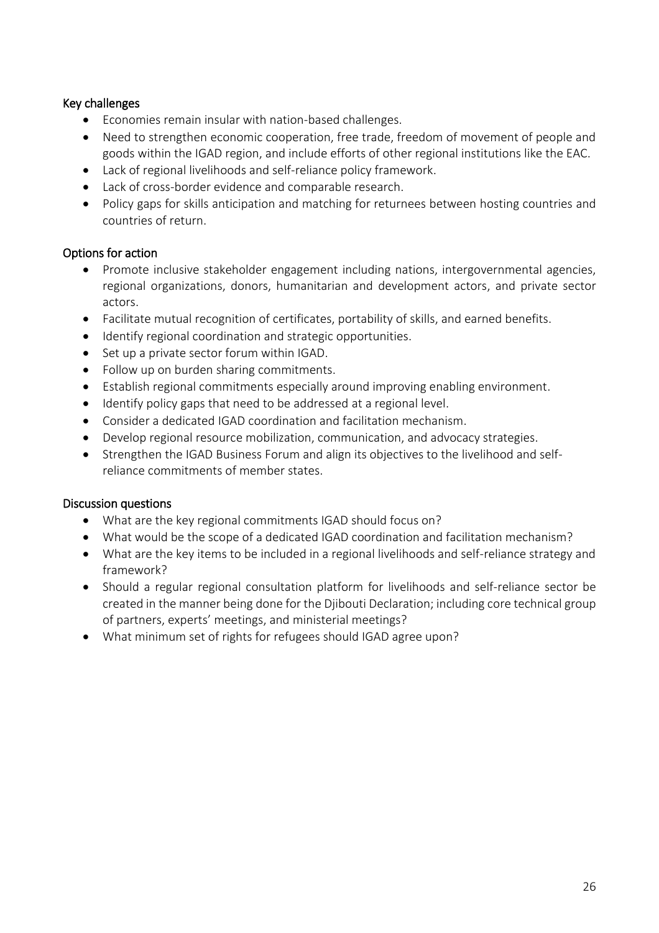## Key challenges

- Economies remain insular with nation-based challenges.
- Need to strengthen economic cooperation, free trade, freedom of movement of people and goods within the IGAD region, and include efforts of other regional institutions like the EAC.
- Lack of regional livelihoods and self-reliance policy framework.
- Lack of cross-border evidence and comparable research.
- Policy gaps for skills anticipation and matching for returnees between hosting countries and countries of return.

## Options for action

- Promote inclusive stakeholder engagement including nations, intergovernmental agencies, regional organizations, donors, humanitarian and development actors, and private sector actors.
- Facilitate mutual recognition of certificates, portability of skills, and earned benefits.
- Identify regional coordination and strategic opportunities.
- Set up a private sector forum within IGAD.
- Follow up on burden sharing commitments.
- Establish regional commitments especially around improving enabling environment.
- Identify policy gaps that need to be addressed at a regional level.
- Consider a dedicated IGAD coordination and facilitation mechanism.
- Develop regional resource mobilization, communication, and advocacy strategies.
- Strengthen the IGAD Business Forum and align its objectives to the livelihood and selfreliance commitments of member states.

## Discussion questions

- What are the key regional commitments IGAD should focus on?
- What would be the scope of a dedicated IGAD coordination and facilitation mechanism?
- What are the key items to be included in a regional livelihoods and self-reliance strategy and framework?
- Should a regular regional consultation platform for livelihoods and self-reliance sector be created in the manner being done for the Djibouti Declaration; including core technical group of partners, experts' meetings, and ministerial meetings?
- What minimum set of rights for refugees should IGAD agree upon?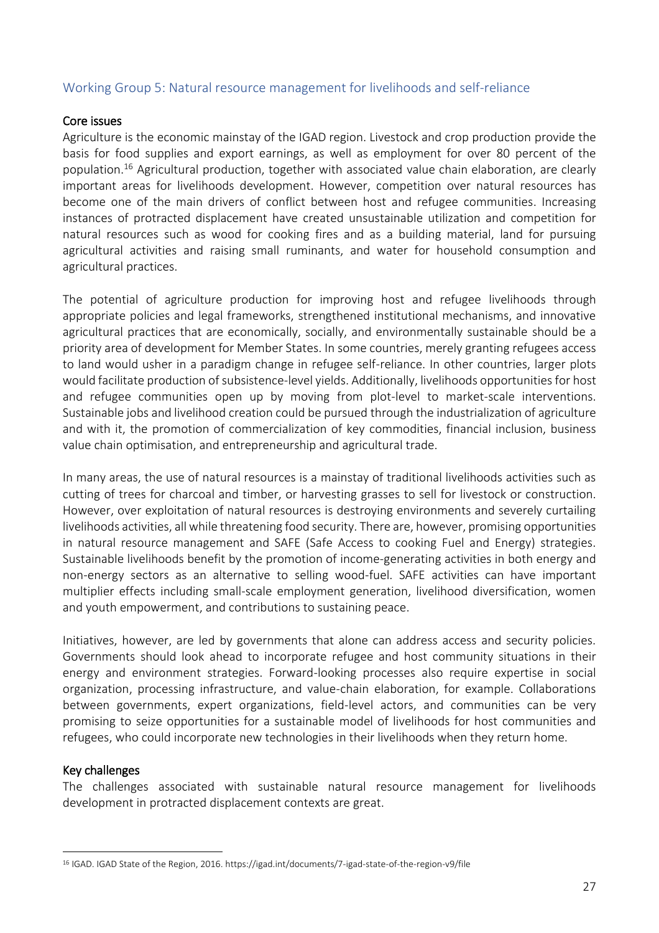## <span id="page-26-0"></span>Working Group 5: Natural resource management for livelihoods and self-reliance

#### Core issues

Agriculture is the economic mainstay of the IGAD region. Livestock and crop production provide the basis for food supplies and export earnings, as well as employment for over 80 percent of the population.<sup>16</sup> Agricultural production, together with associated value chain elaboration, are clearly important areas for livelihoods development. However, competition over natural resources has become one of the main drivers of conflict between host and refugee communities. Increasing instances of protracted displacement have created unsustainable utilization and competition for natural resources such as wood for cooking fires and as a building material, land for pursuing agricultural activities and raising small ruminants, and water for household consumption and agricultural practices.

The potential of agriculture production for improving host and refugee livelihoods through appropriate policies and legal frameworks, strengthened institutional mechanisms, and innovative agricultural practices that are economically, socially, and environmentally sustainable should be a priority area of development for Member States. In some countries, merely granting refugees access to land would usher in a paradigm change in refugee self-reliance. In other countries, larger plots would facilitate production of subsistence-level yields. Additionally, livelihoods opportunities for host and refugee communities open up by moving from plot-level to market-scale interventions. Sustainable jobs and livelihood creation could be pursued through the industrialization of agriculture and with it, the promotion of commercialization of key commodities, financial inclusion, business value chain optimisation, and entrepreneurship and agricultural trade.

In many areas, the use of natural resources is a mainstay of traditional livelihoods activities such as cutting of trees for charcoal and timber, or harvesting grasses to sell for livestock or construction. However, over exploitation of natural resources is destroying environments and severely curtailing livelihoods activities, all while threatening food security. There are, however, promising opportunities in natural resource management and SAFE (Safe Access to cooking Fuel and Energy) strategies. Sustainable livelihoods benefit by the promotion of income-generating activities in both energy and non-energy sectors as an alternative to selling wood-fuel. SAFE activities can have important multiplier effects including small-scale employment generation, livelihood diversification, women and youth empowerment, and contributions to sustaining peace.

Initiatives, however, are led by governments that alone can address access and security policies. Governments should look ahead to incorporate refugee and host community situations in their energy and environment strategies. Forward-looking processes also require expertise in social organization, processing infrastructure, and value-chain elaboration, for example. Collaborations between governments, expert organizations, field-level actors, and communities can be very promising to seize opportunities for a sustainable model of livelihoods for host communities and refugees, who could incorporate new technologies in their livelihoods when they return home.

#### Key challenges

 $\overline{a}$ 

The challenges associated with sustainable natural resource management for livelihoods development in protracted displacement contexts are great.

<sup>16</sup> IGAD. IGAD State of the Region, 2016. https://igad.int/documents/7-igad-state-of-the-region-v9/file